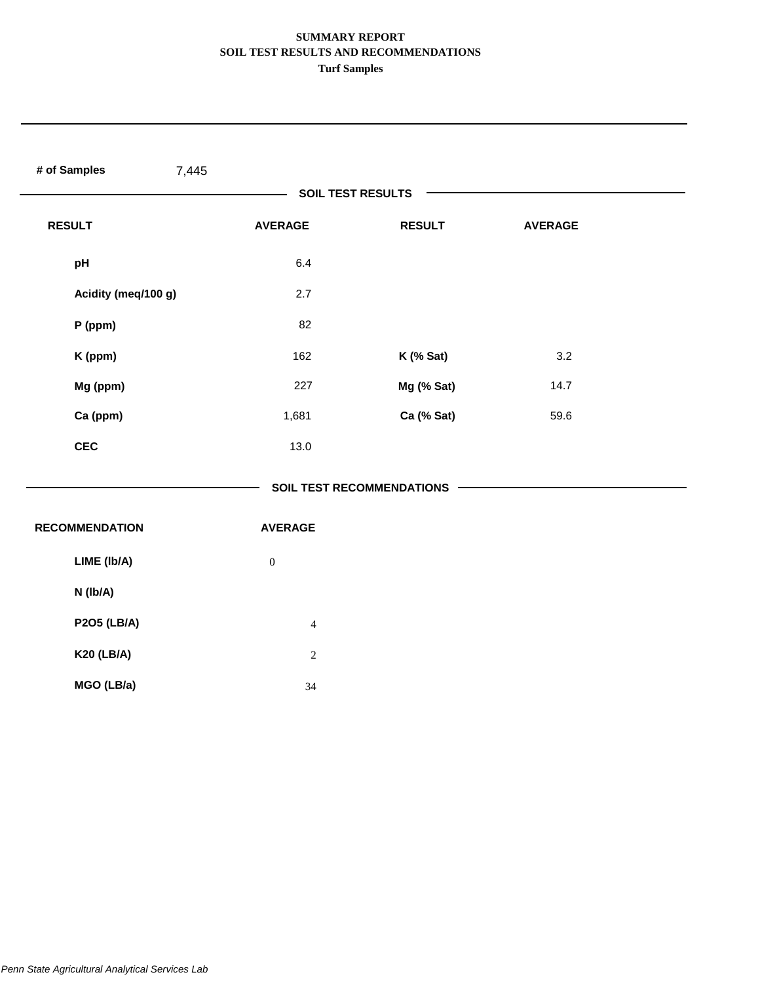| # of Samples<br>7,445 |                  |                                  |                |  |
|-----------------------|------------------|----------------------------------|----------------|--|
|                       |                  | <b>SOIL TEST RESULTS</b>         |                |  |
| <b>RESULT</b>         | <b>AVERAGE</b>   | <b>RESULT</b>                    | <b>AVERAGE</b> |  |
| pH                    | 6.4              |                                  |                |  |
| Acidity (meq/100 g)   | 2.7              |                                  |                |  |
| $P$ (ppm)             | 82               |                                  |                |  |
| K (ppm)               | 162              | K (% Sat)                        | 3.2            |  |
| Mg (ppm)              | 227              | Mg (% Sat)                       | 14.7           |  |
| Ca (ppm)              | 1,681            | Ca (% Sat)                       | 59.6           |  |
| <b>CEC</b>            | 13.0             |                                  |                |  |
|                       |                  | <b>SOIL TEST RECOMMENDATIONS</b> |                |  |
| <b>RECOMMENDATION</b> | <b>AVERAGE</b>   |                                  |                |  |
| LIME (Ib/A)           | $\boldsymbol{0}$ |                                  |                |  |
| N (Ib/A)              |                  |                                  |                |  |
| <b>P2O5 (LB/A)</b>    | $\overline{4}$   |                                  |                |  |
| <b>K20 (LB/A)</b>     | $\sqrt{2}$       |                                  |                |  |
| MGO (LB/a)            | 34               |                                  |                |  |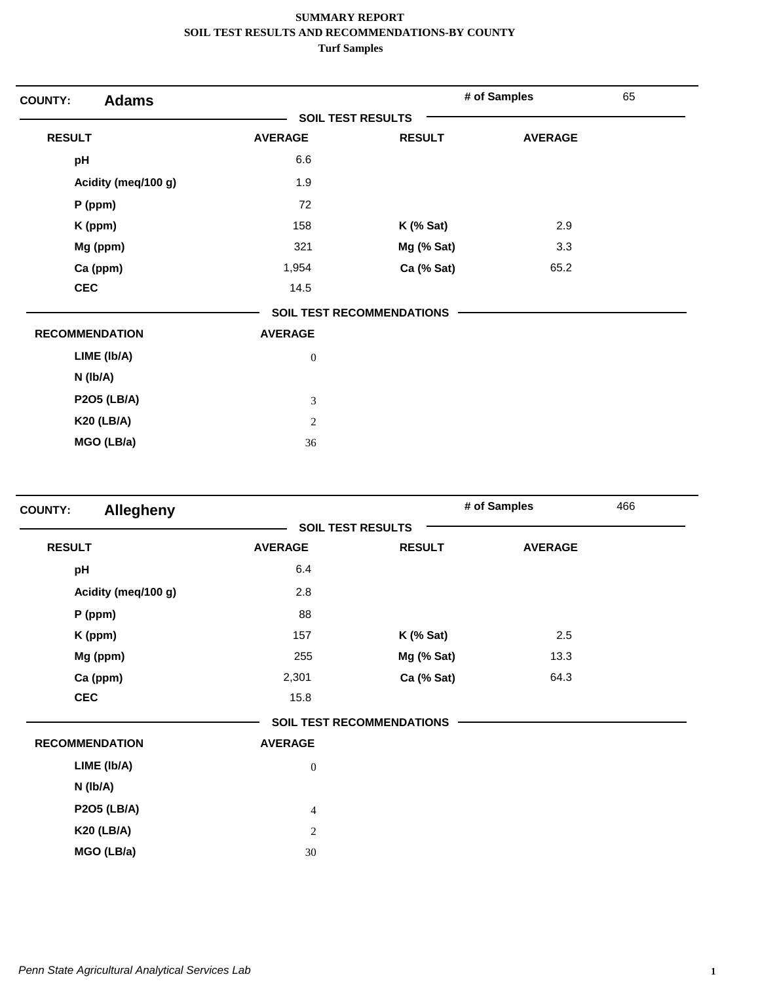| <b>Adams</b><br><b>COUNTY:</b> |                             |                                  | # of Samples   | 65 |
|--------------------------------|-----------------------------|----------------------------------|----------------|----|
|                                |                             | <b>SOIL TEST RESULTS</b>         |                |    |
| <b>RESULT</b>                  | <b>AVERAGE</b>              | <b>RESULT</b>                    | <b>AVERAGE</b> |    |
| pH                             | 6.6                         |                                  |                |    |
| Acidity (meq/100 g)            | 1.9                         |                                  |                |    |
| $P$ (ppm)                      | 72                          |                                  |                |    |
| K (ppm)                        | 158                         | $K$ (% Sat)                      | 2.9            |    |
| Mg (ppm)                       | 321                         | Mg (% Sat)                       | 3.3            |    |
| Ca (ppm)                       | 1,954                       | Ca (% Sat)                       | 65.2           |    |
| <b>CEC</b>                     | 14.5                        |                                  |                |    |
|                                |                             | <b>SOIL TEST RECOMMENDATIONS</b> |                |    |
| <b>RECOMMENDATION</b>          | <b>AVERAGE</b>              |                                  |                |    |
| LIME (Ib/A)                    | $\boldsymbol{0}$            |                                  |                |    |
| N (Ib/A)                       |                             |                                  |                |    |
| <b>P2O5 (LB/A)</b>             | $\ensuremath{\mathfrak{Z}}$ |                                  |                |    |
| <b>K20 (LB/A)</b>              | $\mathbf{2}$                |                                  |                |    |
| MGO (LB/a)                     | 36                          |                                  |                |    |

| <b>COUNTY:</b> | <b>Allegheny</b>      |                  |                                  | # of Samples   | 466 |
|----------------|-----------------------|------------------|----------------------------------|----------------|-----|
|                |                       |                  | <b>SOIL TEST RESULTS</b>         |                |     |
| <b>RESULT</b>  |                       | <b>AVERAGE</b>   | <b>RESULT</b>                    | <b>AVERAGE</b> |     |
| pH             |                       | 6.4              |                                  |                |     |
|                | Acidity (meq/100 g)   | 2.8              |                                  |                |     |
|                | $P$ (ppm)             | 88               |                                  |                |     |
|                | K (ppm)               | 157              | $K$ (% Sat)                      | 2.5            |     |
|                | Mg (ppm)              | 255              | Mg (% Sat)                       | 13.3           |     |
|                | Ca (ppm)              | 2,301            | Ca (% Sat)                       | 64.3           |     |
|                | <b>CEC</b>            | 15.8             |                                  |                |     |
|                |                       |                  | <b>SOIL TEST RECOMMENDATIONS</b> |                |     |
|                | <b>RECOMMENDATION</b> | <b>AVERAGE</b>   |                                  |                |     |
|                | LIME (Ib/A)           | $\boldsymbol{0}$ |                                  |                |     |
|                | N (lb/A)              |                  |                                  |                |     |
|                | <b>P2O5 (LB/A)</b>    | $\overline{4}$   |                                  |                |     |
|                | <b>K20 (LB/A)</b>     | $\sqrt{2}$       |                                  |                |     |
|                | MGO (LB/a)            | $30\,$           |                                  |                |     |
|                |                       |                  |                                  |                |     |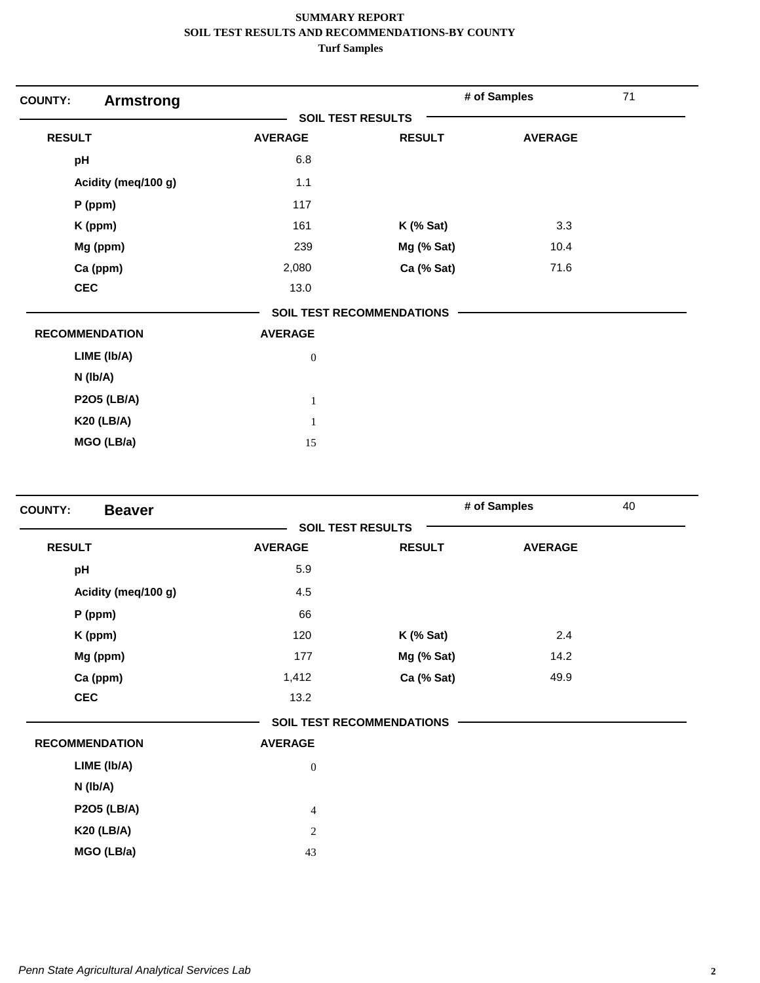| <b>COUNTY:</b><br><b>Armstrong</b> |                          |                                  | # of Samples   | 71 |
|------------------------------------|--------------------------|----------------------------------|----------------|----|
|                                    | <b>SOIL TEST RESULTS</b> |                                  |                |    |
| <b>RESULT</b>                      | <b>AVERAGE</b>           | <b>RESULT</b>                    | <b>AVERAGE</b> |    |
| pH                                 | 6.8                      |                                  |                |    |
| Acidity (meq/100 g)                | 1.1                      |                                  |                |    |
| P (ppm)                            | 117                      |                                  |                |    |
| K (ppm)                            | 161                      | $K$ (% Sat)                      | 3.3            |    |
| Mg (ppm)                           | 239                      | Mg (% Sat)                       | 10.4           |    |
| Ca (ppm)                           | 2,080                    | Ca (% Sat)                       | 71.6           |    |
| <b>CEC</b>                         | 13.0                     |                                  |                |    |
|                                    |                          | <b>SOIL TEST RECOMMENDATIONS</b> |                |    |
| <b>RECOMMENDATION</b>              | <b>AVERAGE</b>           |                                  |                |    |
| LIME (Ib/A)                        | $\boldsymbol{0}$         |                                  |                |    |
| N (Ib/A)                           |                          |                                  |                |    |
| <b>P2O5 (LB/A)</b>                 | $\mathbf{1}$             |                                  |                |    |
| <b>K20 (LB/A)</b>                  | $\mathbf{1}$             |                                  |                |    |
| MGO (LB/a)                         | 15                       |                                  |                |    |

| <b>Beaver</b><br><b>COUNTY:</b> |                |                                  | # of Samples   | 40 |
|---------------------------------|----------------|----------------------------------|----------------|----|
|                                 |                | <b>SOIL TEST RESULTS</b>         |                |    |
| <b>RESULT</b>                   | <b>AVERAGE</b> | <b>RESULT</b>                    | <b>AVERAGE</b> |    |
| pH                              | 5.9            |                                  |                |    |
| Acidity (meq/100 g)             | 4.5            |                                  |                |    |
| P (ppm)                         | 66             |                                  |                |    |
| K (ppm)                         | 120            | $K$ (% Sat)                      | 2.4            |    |
| Mg (ppm)                        | 177            | Mg (% Sat)                       | 14.2           |    |
| Ca (ppm)                        | 1,412          | Ca (% Sat)                       | 49.9           |    |
| <b>CEC</b>                      | 13.2           |                                  |                |    |
|                                 |                | <b>SOIL TEST RECOMMENDATIONS</b> |                |    |
| <b>RECOMMENDATION</b>           | <b>AVERAGE</b> |                                  |                |    |
| LIME (Ib/A)                     | $\mathbf{0}$   |                                  |                |    |
| N (Ib/A)                        |                |                                  |                |    |
| <b>P2O5 (LB/A)</b>              | $\overline{4}$ |                                  |                |    |
| <b>K20 (LB/A)</b>               | 2              |                                  |                |    |
| MGO (LB/a)                      | 43             |                                  |                |    |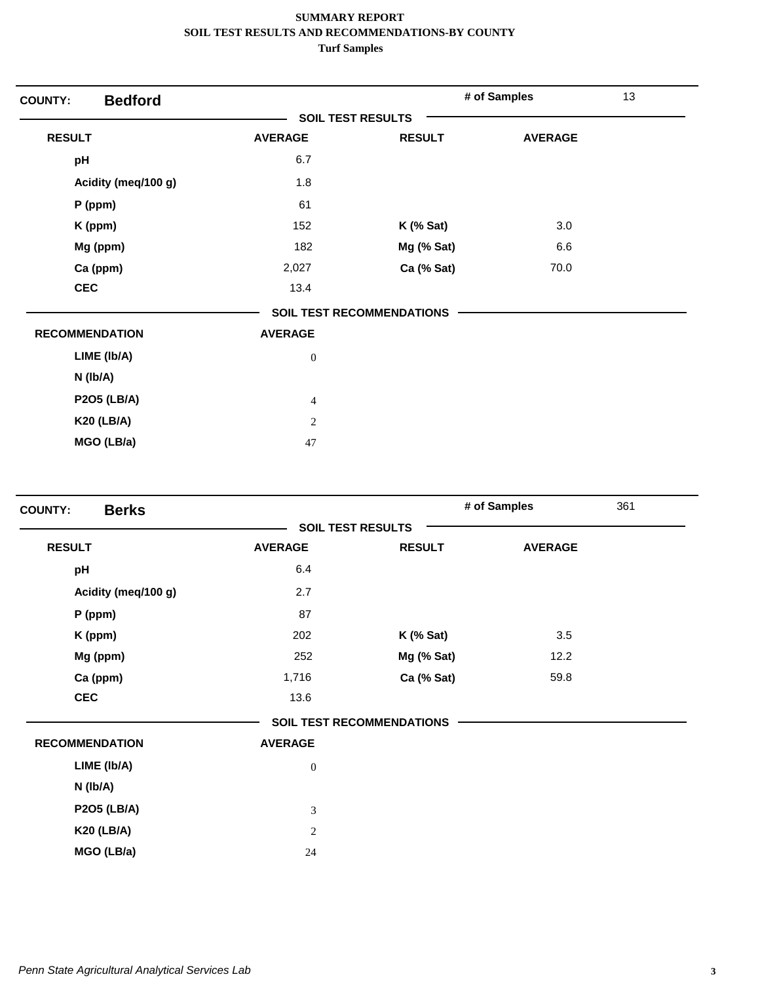| <b>Bedford</b><br><b>COUNTY:</b> |                          |                                  | # of Samples   | 13 |
|----------------------------------|--------------------------|----------------------------------|----------------|----|
|                                  | <b>SOIL TEST RESULTS</b> |                                  |                |    |
| <b>RESULT</b>                    | <b>AVERAGE</b>           | <b>RESULT</b>                    | <b>AVERAGE</b> |    |
| pH                               | 6.7                      |                                  |                |    |
| Acidity (meq/100 g)              | 1.8                      |                                  |                |    |
| P (ppm)                          | 61                       |                                  |                |    |
| K (ppm)                          | 152                      | $K$ (% Sat)                      | 3.0            |    |
| Mg (ppm)                         | 182                      | Mg (% Sat)                       | 6.6            |    |
| Ca (ppm)                         | 2,027                    | Ca (% Sat)                       | 70.0           |    |
| <b>CEC</b>                       | 13.4                     |                                  |                |    |
|                                  |                          | <b>SOIL TEST RECOMMENDATIONS</b> |                |    |
| <b>RECOMMENDATION</b>            | <b>AVERAGE</b>           |                                  |                |    |
| LIME (Ib/A)                      | $\boldsymbol{0}$         |                                  |                |    |
| N (Ib/A)                         |                          |                                  |                |    |
| <b>P2O5 (LB/A)</b>               | $\overline{4}$           |                                  |                |    |
| <b>K20 (LB/A)</b>                | $\mathbf{2}$             |                                  |                |    |
| MGO (LB/a)                       | $47\,$                   |                                  |                |    |

| <b>Berks</b><br><b>COUNTY:</b> |                          |                                  | # of Samples   | 361 |
|--------------------------------|--------------------------|----------------------------------|----------------|-----|
|                                | <b>SOIL TEST RESULTS</b> |                                  |                |     |
| <b>RESULT</b>                  | <b>AVERAGE</b>           | <b>RESULT</b>                    | <b>AVERAGE</b> |     |
| pH                             | 6.4                      |                                  |                |     |
| Acidity (meq/100 g)            | 2.7                      |                                  |                |     |
| $P$ (ppm)                      | 87                       |                                  |                |     |
| K (ppm)                        | 202                      | $K$ (% Sat)                      | 3.5            |     |
| Mg (ppm)                       | 252                      | Mg (% Sat)                       | 12.2           |     |
| Ca (ppm)                       | 1,716                    | Ca (% Sat)                       | 59.8           |     |
| <b>CEC</b>                     | 13.6                     |                                  |                |     |
|                                |                          | <b>SOIL TEST RECOMMENDATIONS</b> |                |     |
| <b>RECOMMENDATION</b>          | <b>AVERAGE</b>           |                                  |                |     |
| LIME (Ib/A)                    | $\boldsymbol{0}$         |                                  |                |     |
| N (Ib/A)                       |                          |                                  |                |     |
| <b>P2O5 (LB/A)</b>             | 3                        |                                  |                |     |
| <b>K20 (LB/A)</b>              | $\sqrt{2}$               |                                  |                |     |
| MGO (LB/a)                     | 24                       |                                  |                |     |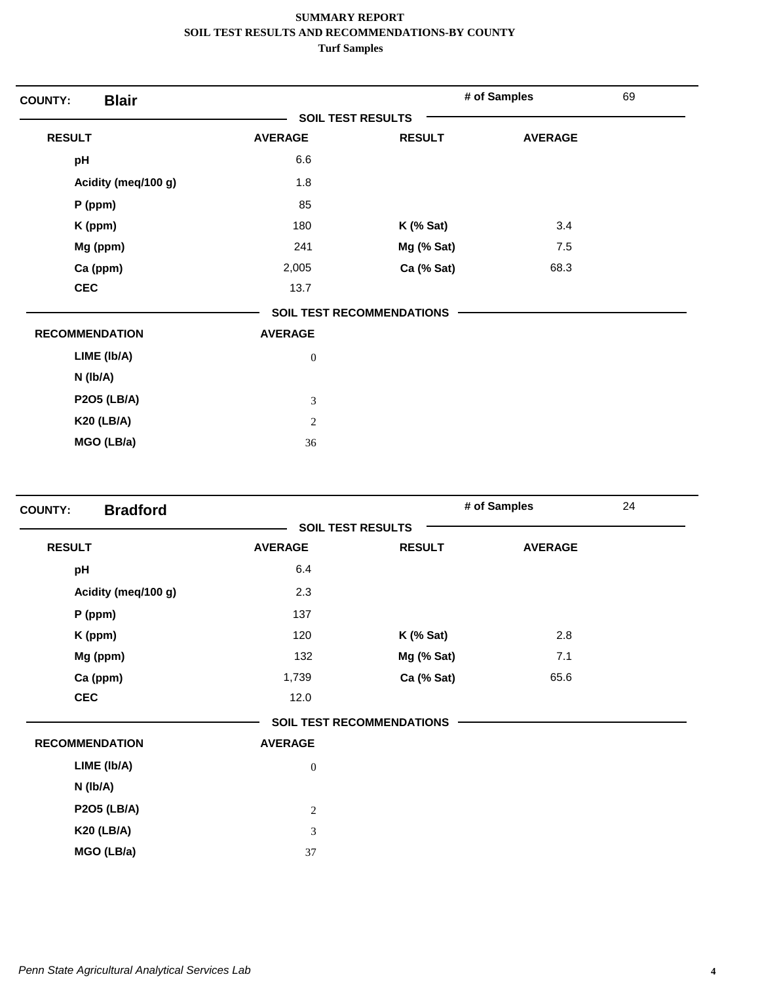| <b>Blair</b><br><b>COUNTY:</b> |                  |                                  | # of Samples   | 69 |
|--------------------------------|------------------|----------------------------------|----------------|----|
|                                |                  | <b>SOIL TEST RESULTS</b>         |                |    |
| <b>RESULT</b>                  | <b>AVERAGE</b>   | <b>RESULT</b>                    | <b>AVERAGE</b> |    |
| pH                             | 6.6              |                                  |                |    |
| Acidity (meq/100 g)            | 1.8              |                                  |                |    |
| $P$ (ppm)                      | 85               |                                  |                |    |
| K (ppm)                        | 180              | $K$ (% Sat)                      | 3.4            |    |
| Mg (ppm)                       | 241              | Mg (% Sat)                       | 7.5            |    |
| Ca (ppm)                       | 2,005            | Ca (% Sat)                       | 68.3           |    |
| <b>CEC</b>                     | 13.7             |                                  |                |    |
|                                |                  | <b>SOIL TEST RECOMMENDATIONS</b> |                |    |
| <b>RECOMMENDATION</b>          | <b>AVERAGE</b>   |                                  |                |    |
| LIME (Ib/A)                    | $\boldsymbol{0}$ |                                  |                |    |
| N (Ib/A)                       |                  |                                  |                |    |
| <b>P2O5 (LB/A)</b>             | 3                |                                  |                |    |
| <b>K20 (LB/A)</b>              | $\sqrt{2}$       |                                  |                |    |
| MGO (LB/a)                     | 36               |                                  |                |    |

| <b>Bradford</b><br><b>COUNTY:</b> |                |                                  | # of Samples   | 24 |
|-----------------------------------|----------------|----------------------------------|----------------|----|
|                                   |                | <b>SOIL TEST RESULTS</b>         |                |    |
| <b>RESULT</b>                     | <b>AVERAGE</b> | <b>RESULT</b>                    | <b>AVERAGE</b> |    |
| pH                                | 6.4            |                                  |                |    |
| Acidity (meq/100 g)               | 2.3            |                                  |                |    |
| P (ppm)                           | 137            |                                  |                |    |
| K (ppm)                           | 120            | $K$ (% Sat)                      | 2.8            |    |
| Mg (ppm)                          | 132            | Mg (% Sat)                       | 7.1            |    |
| Ca (ppm)                          | 1,739          | Ca (% Sat)                       | 65.6           |    |
| <b>CEC</b>                        | 12.0           |                                  |                |    |
|                                   |                | <b>SOIL TEST RECOMMENDATIONS</b> |                |    |
| <b>RECOMMENDATION</b>             | <b>AVERAGE</b> |                                  |                |    |
| LIME (Ib/A)                       | $\overline{0}$ |                                  |                |    |
| N (Ib/A)                          |                |                                  |                |    |
| <b>P2O5 (LB/A)</b>                | $\overline{c}$ |                                  |                |    |
| <b>K20 (LB/A)</b>                 | 3              |                                  |                |    |
| MGO (LB/a)                        | 37             |                                  |                |    |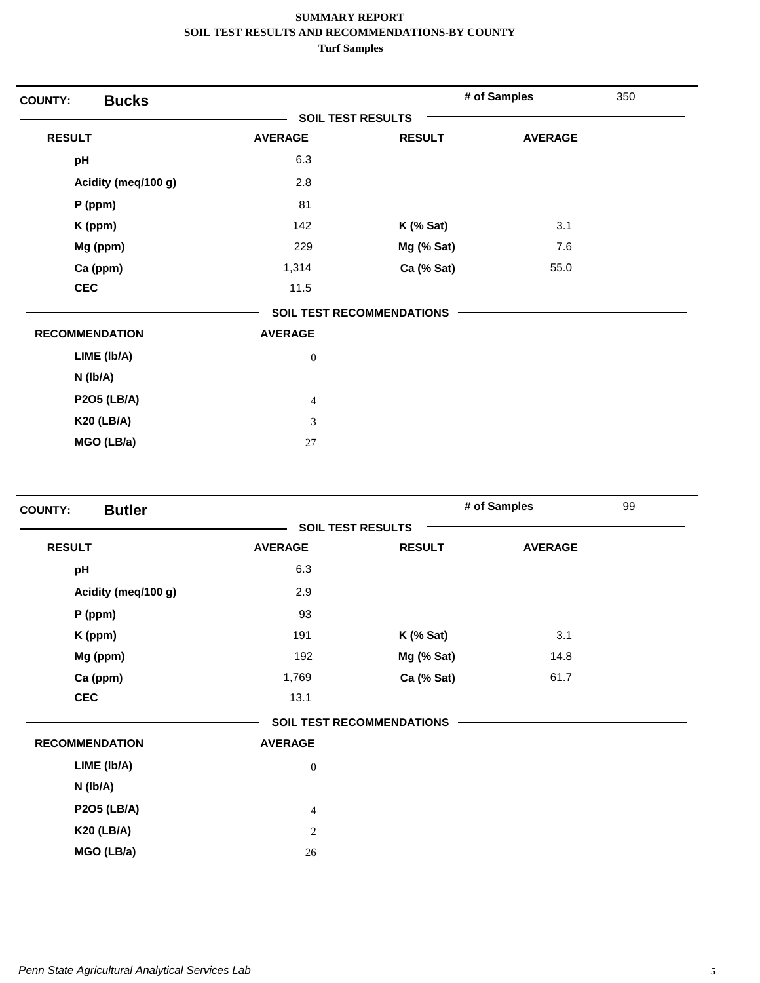| <b>Bucks</b><br><b>COUNTY:</b> |                          |                                  | # of Samples   | 350 |
|--------------------------------|--------------------------|----------------------------------|----------------|-----|
|                                | <b>SOIL TEST RESULTS</b> |                                  |                |     |
| <b>RESULT</b>                  | <b>AVERAGE</b>           | <b>RESULT</b>                    | <b>AVERAGE</b> |     |
| pH                             | 6.3                      |                                  |                |     |
| Acidity (meq/100 g)            | 2.8                      |                                  |                |     |
| $P$ (ppm)                      | 81                       |                                  |                |     |
| K (ppm)                        | 142                      | $K$ (% Sat)                      | 3.1            |     |
| Mg (ppm)                       | 229                      | Mg (% Sat)                       | 7.6            |     |
| Ca (ppm)                       | 1,314                    | Ca (% Sat)                       | 55.0           |     |
| <b>CEC</b>                     | 11.5                     |                                  |                |     |
|                                |                          | <b>SOIL TEST RECOMMENDATIONS</b> |                |     |
| <b>RECOMMENDATION</b>          | <b>AVERAGE</b>           |                                  |                |     |
| LIME (Ib/A)                    | $\boldsymbol{0}$         |                                  |                |     |
| N (Ib/A)                       |                          |                                  |                |     |
| <b>P2O5 (LB/A)</b>             | $\overline{4}$           |                                  |                |     |
| <b>K20 (LB/A)</b>              | 3                        |                                  |                |     |
| MGO (LB/a)                     | 27                       |                                  |                |     |

| <b>Butler</b><br><b>COUNTY:</b> |                          |                                  | # of Samples   | 99 |
|---------------------------------|--------------------------|----------------------------------|----------------|----|
|                                 | <b>SOIL TEST RESULTS</b> |                                  |                |    |
| <b>RESULT</b>                   | <b>AVERAGE</b>           | <b>RESULT</b>                    | <b>AVERAGE</b> |    |
| pH                              | 6.3                      |                                  |                |    |
| Acidity (meq/100 g)             | 2.9                      |                                  |                |    |
| $P$ (ppm)                       | 93                       |                                  |                |    |
| K (ppm)                         | 191                      | $K$ (% Sat)                      | 3.1            |    |
| Mg (ppm)                        | 192                      | Mg (% Sat)                       | 14.8           |    |
| Ca (ppm)                        | 1,769                    | Ca (% Sat)                       | 61.7           |    |
| <b>CEC</b>                      | 13.1                     |                                  |                |    |
|                                 |                          | <b>SOIL TEST RECOMMENDATIONS</b> |                |    |
| <b>RECOMMENDATION</b>           | <b>AVERAGE</b>           |                                  |                |    |
| LIME (Ib/A)                     | $\boldsymbol{0}$         |                                  |                |    |
| N (Ib/A)                        |                          |                                  |                |    |
| <b>P2O5 (LB/A)</b>              | $\overline{4}$           |                                  |                |    |
| <b>K20 (LB/A)</b>               | $\sqrt{2}$               |                                  |                |    |
| MGO (LB/a)                      | 26                       |                                  |                |    |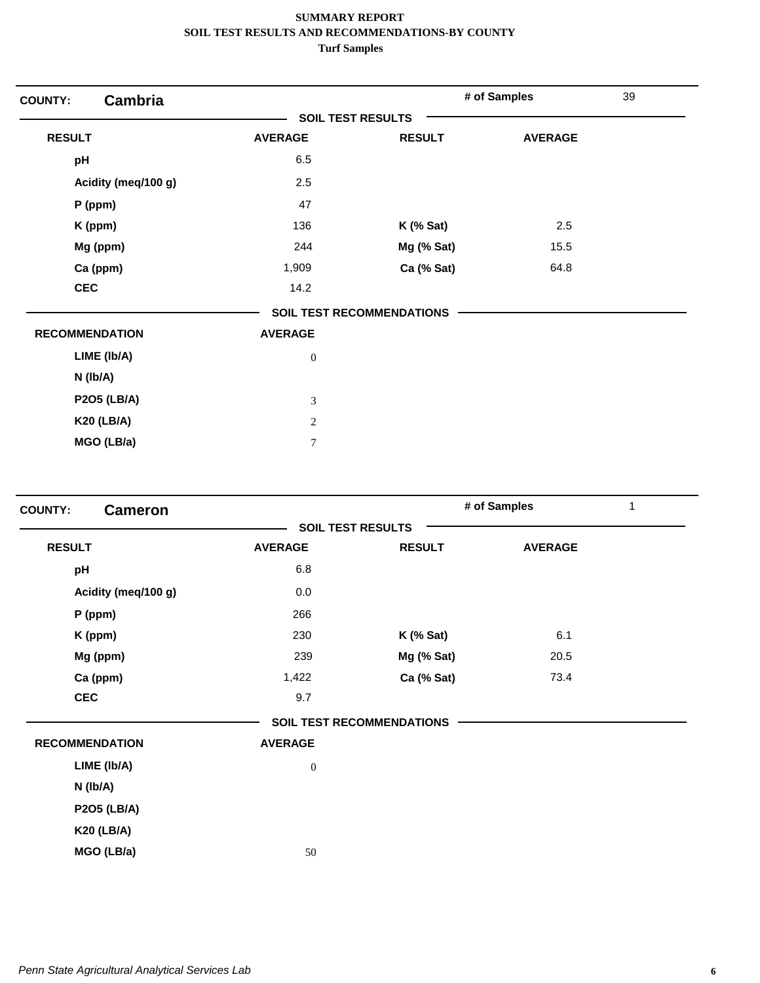| <b>Cambria</b><br><b>COUNTY:</b> |                          |                                  | # of Samples   | 39 |
|----------------------------------|--------------------------|----------------------------------|----------------|----|
|                                  | <b>SOIL TEST RESULTS</b> |                                  |                |    |
| <b>RESULT</b>                    | <b>AVERAGE</b>           | <b>RESULT</b>                    | <b>AVERAGE</b> |    |
| pH                               | 6.5                      |                                  |                |    |
| Acidity (meq/100 g)              | 2.5                      |                                  |                |    |
| $P$ (ppm)                        | 47                       |                                  |                |    |
| K (ppm)                          | 136                      | $K$ (% Sat)                      | 2.5            |    |
| Mg (ppm)                         | 244                      | Mg (% Sat)                       | 15.5           |    |
| Ca (ppm)                         | 1,909                    | Ca (% Sat)                       | 64.8           |    |
| <b>CEC</b>                       | 14.2                     |                                  |                |    |
|                                  |                          | <b>SOIL TEST RECOMMENDATIONS</b> |                |    |
| <b>RECOMMENDATION</b>            | <b>AVERAGE</b>           |                                  |                |    |
| LIME (Ib/A)                      | $\boldsymbol{0}$         |                                  |                |    |
| N (Ib/A)                         |                          |                                  |                |    |
| <b>P2O5 (LB/A)</b>               | 3                        |                                  |                |    |
| <b>K20 (LB/A)</b>                | $\mathbf{2}$             |                                  |                |    |
| MGO (LB/a)                       | $\overline{7}$           |                                  |                |    |

| <b>COUNTY:</b><br><b>Cameron</b> |                  |                                  | # of Samples<br>1 |  |  |
|----------------------------------|------------------|----------------------------------|-------------------|--|--|
|                                  |                  | <b>SOIL TEST RESULTS</b>         |                   |  |  |
| <b>RESULT</b>                    | <b>AVERAGE</b>   | <b>RESULT</b>                    | <b>AVERAGE</b>    |  |  |
| pH                               | 6.8              |                                  |                   |  |  |
| Acidity (meq/100 g)              | 0.0              |                                  |                   |  |  |
| P (ppm)                          | 266              |                                  |                   |  |  |
| K (ppm)                          | 230              | $K$ (% Sat)                      | 6.1               |  |  |
| Mg (ppm)                         | 239              | Mg (% Sat)                       | 20.5              |  |  |
| Ca (ppm)                         | 1,422            | Ca (% Sat)                       | 73.4              |  |  |
| <b>CEC</b>                       | 9.7              |                                  |                   |  |  |
|                                  |                  | <b>SOIL TEST RECOMMENDATIONS</b> |                   |  |  |
| <b>RECOMMENDATION</b>            | <b>AVERAGE</b>   |                                  |                   |  |  |
| LIME (Ib/A)                      | $\boldsymbol{0}$ |                                  |                   |  |  |
| N (Ib/A)                         |                  |                                  |                   |  |  |
| <b>P2O5 (LB/A)</b>               |                  |                                  |                   |  |  |
| <b>K20 (LB/A)</b>                |                  |                                  |                   |  |  |
| MGO (LB/a)                       | 50               |                                  |                   |  |  |
|                                  |                  |                                  |                   |  |  |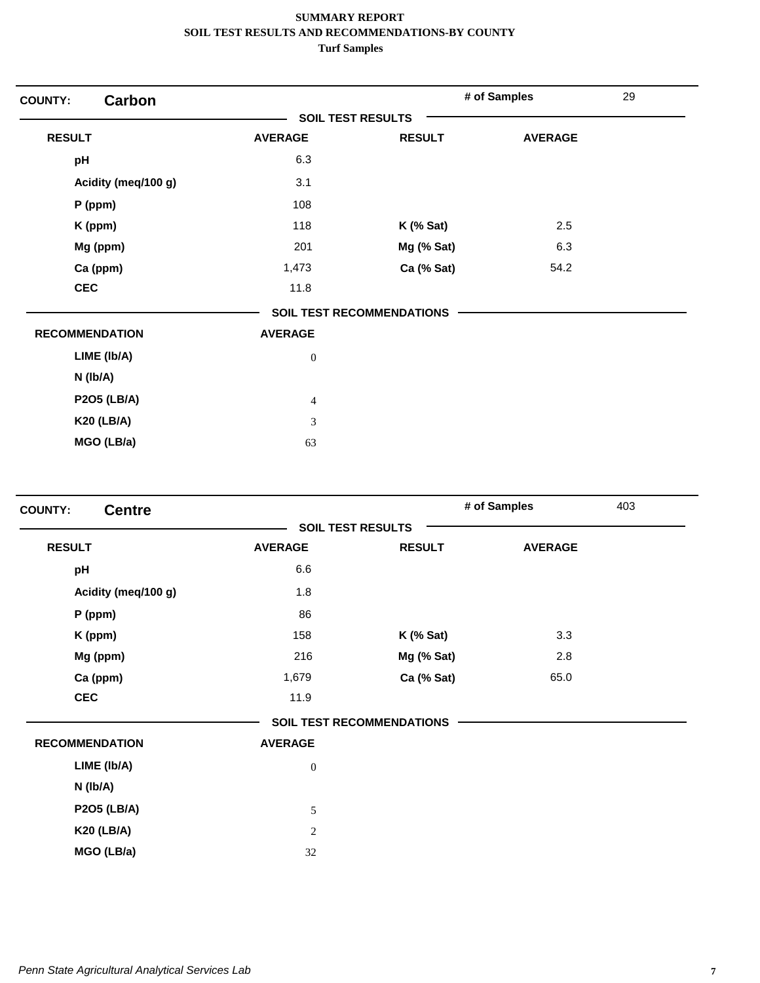| Carbon<br><b>COUNTY:</b> |                          |                                  | # of Samples   | 29 |
|--------------------------|--------------------------|----------------------------------|----------------|----|
|                          | <b>SOIL TEST RESULTS</b> |                                  |                |    |
| <b>RESULT</b>            | <b>AVERAGE</b>           | <b>RESULT</b>                    | <b>AVERAGE</b> |    |
| pH                       | 6.3                      |                                  |                |    |
| Acidity (meq/100 g)      | 3.1                      |                                  |                |    |
| $P$ (ppm)                | 108                      |                                  |                |    |
| K (ppm)                  | 118                      | $K$ (% Sat)                      | 2.5            |    |
| Mg (ppm)                 | 201                      | Mg (% Sat)                       | 6.3            |    |
| Ca (ppm)                 | 1,473                    | Ca (% Sat)                       | 54.2           |    |
| <b>CEC</b>               | 11.8                     |                                  |                |    |
|                          |                          | <b>SOIL TEST RECOMMENDATIONS</b> |                |    |
| <b>RECOMMENDATION</b>    | <b>AVERAGE</b>           |                                  |                |    |
| LIME (Ib/A)              | $\boldsymbol{0}$         |                                  |                |    |
| $N$ (lb/A)               |                          |                                  |                |    |
| <b>P2O5 (LB/A)</b>       | $\overline{4}$           |                                  |                |    |
| <b>K20 (LB/A)</b>        | 3                        |                                  |                |    |
| MGO (LB/a)               | 63                       |                                  |                |    |

| <b>Centre</b><br><b>COUNTY:</b> |                |                                  | # of Samples   | 403 |
|---------------------------------|----------------|----------------------------------|----------------|-----|
|                                 |                | <b>SOIL TEST RESULTS</b>         |                |     |
| <b>RESULT</b>                   | <b>AVERAGE</b> | <b>RESULT</b>                    | <b>AVERAGE</b> |     |
| pH                              | 6.6            |                                  |                |     |
| Acidity (meq/100 g)             | 1.8            |                                  |                |     |
| P (ppm)                         | 86             |                                  |                |     |
| K (ppm)                         | 158            | $K$ (% Sat)                      | 3.3            |     |
| Mg (ppm)                        | 216            | Mg (% Sat)                       | 2.8            |     |
| Ca (ppm)                        | 1,679          | Ca (% Sat)                       | 65.0           |     |
| <b>CEC</b>                      | 11.9           |                                  |                |     |
|                                 |                | <b>SOIL TEST RECOMMENDATIONS</b> |                |     |
| <b>RECOMMENDATION</b>           | <b>AVERAGE</b> |                                  |                |     |
| LIME (Ib/A)                     | $\mathbf{0}$   |                                  |                |     |
| N (Ib/A)                        |                |                                  |                |     |
| <b>P2O5 (LB/A)</b>              | 5              |                                  |                |     |
| <b>K20 (LB/A)</b>               | $\sqrt{2}$     |                                  |                |     |
| MGO (LB/a)                      | 32             |                                  |                |     |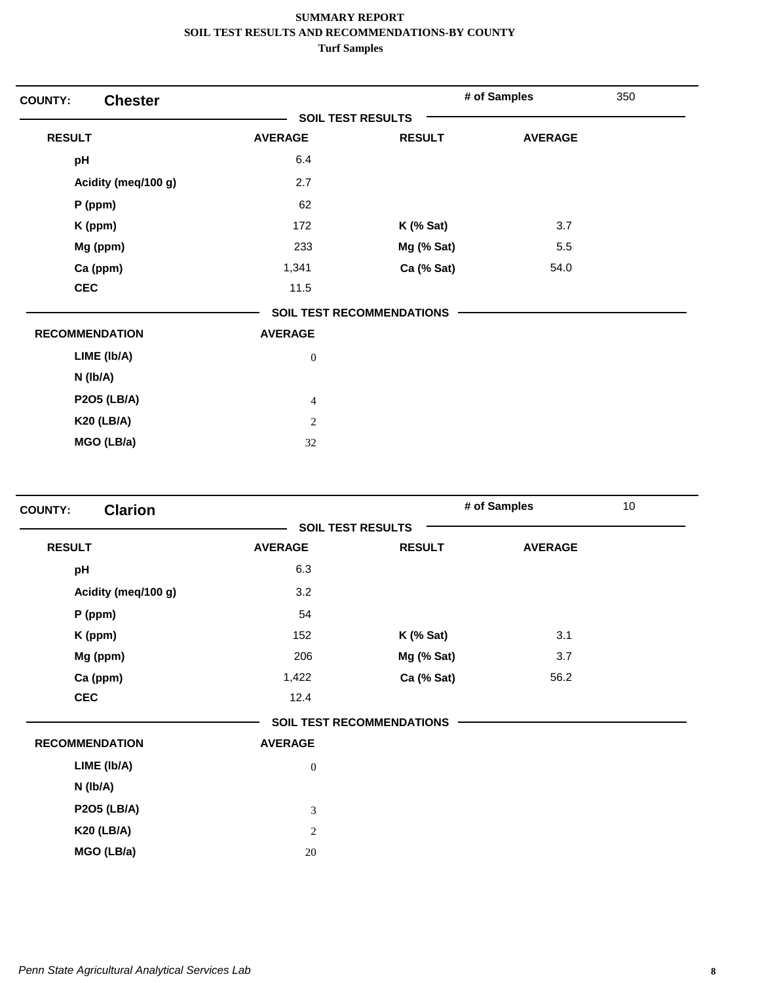| <b>Chester</b><br><b>COUNTY:</b> |                          |                                  | # of Samples   | 350 |
|----------------------------------|--------------------------|----------------------------------|----------------|-----|
|                                  | <b>SOIL TEST RESULTS</b> |                                  |                |     |
| <b>RESULT</b>                    | <b>AVERAGE</b>           | <b>RESULT</b>                    | <b>AVERAGE</b> |     |
| pH                               | 6.4                      |                                  |                |     |
| Acidity (meq/100 g)              | 2.7                      |                                  |                |     |
| $P$ (ppm)                        | 62                       |                                  |                |     |
| K (ppm)                          | 172                      | $K$ (% Sat)                      | 3.7            |     |
| Mg (ppm)                         | 233                      | Mg (% Sat)                       | 5.5            |     |
| Ca (ppm)                         | 1,341                    | Ca (% Sat)                       | 54.0           |     |
| <b>CEC</b>                       | 11.5                     |                                  |                |     |
|                                  |                          | <b>SOIL TEST RECOMMENDATIONS</b> |                |     |
| <b>RECOMMENDATION</b>            | <b>AVERAGE</b>           |                                  |                |     |
| LIME (Ib/A)                      | $\boldsymbol{0}$         |                                  |                |     |
| N (Ib/A)                         |                          |                                  |                |     |
| <b>P2O5 (LB/A)</b>               | $\overline{4}$           |                                  |                |     |
| <b>K20 (LB/A)</b>                | $\sqrt{2}$               |                                  |                |     |
| MGO (LB/a)                       | 32                       |                                  |                |     |

| <b>Clarion</b><br><b>COUNTY:</b> |                |                                  | # of Samples   | 10 <sub>1</sub> |
|----------------------------------|----------------|----------------------------------|----------------|-----------------|
|                                  |                | <b>SOIL TEST RESULTS</b>         |                |                 |
| <b>RESULT</b>                    | <b>AVERAGE</b> | <b>RESULT</b>                    | <b>AVERAGE</b> |                 |
| pH                               | 6.3            |                                  |                |                 |
| Acidity (meq/100 g)              | 3.2            |                                  |                |                 |
| P (ppm)                          | 54             |                                  |                |                 |
| K (ppm)                          | 152            | $K$ (% Sat)                      | 3.1            |                 |
| Mg (ppm)                         | 206            | Mg (% Sat)                       | 3.7            |                 |
| Ca (ppm)                         | 1,422          | Ca (% Sat)                       | 56.2           |                 |
| <b>CEC</b>                       | 12.4           |                                  |                |                 |
|                                  |                | <b>SOIL TEST RECOMMENDATIONS</b> |                |                 |
| <b>RECOMMENDATION</b>            | <b>AVERAGE</b> |                                  |                |                 |
| LIME (Ib/A)                      | $\mathbf{0}$   |                                  |                |                 |
| N (Ib/A)                         |                |                                  |                |                 |
| <b>P2O5 (LB/A)</b>               | $\overline{3}$ |                                  |                |                 |
| <b>K20 (LB/A)</b>                | 2              |                                  |                |                 |
| MGO (LB/a)                       | 20             |                                  |                |                 |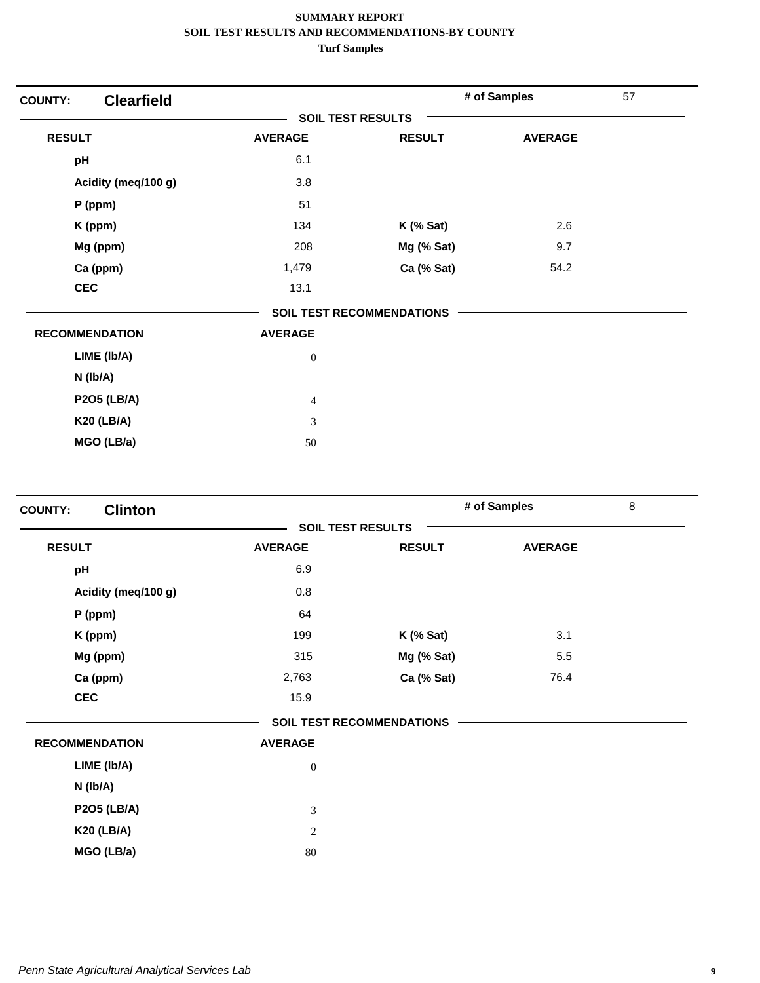| <b>Clearfield</b><br><b>COUNTY:</b> |                          |                                  | # of Samples   | 57 |
|-------------------------------------|--------------------------|----------------------------------|----------------|----|
|                                     | <b>SOIL TEST RESULTS</b> |                                  |                |    |
| <b>RESULT</b>                       | <b>AVERAGE</b>           | <b>RESULT</b>                    | <b>AVERAGE</b> |    |
| pH                                  | 6.1                      |                                  |                |    |
| Acidity (meq/100 g)                 | 3.8                      |                                  |                |    |
| $P$ (ppm)                           | 51                       |                                  |                |    |
| K (ppm)                             | 134                      | $K$ (% Sat)                      | 2.6            |    |
| Mg (ppm)                            | 208                      | Mg (% Sat)                       | 9.7            |    |
| Ca (ppm)                            | 1,479                    | Ca (% Sat)                       | 54.2           |    |
| <b>CEC</b>                          | 13.1                     |                                  |                |    |
|                                     |                          | <b>SOIL TEST RECOMMENDATIONS</b> |                |    |
| <b>RECOMMENDATION</b>               | <b>AVERAGE</b>           |                                  |                |    |
| LIME (Ib/A)                         | $\boldsymbol{0}$         |                                  |                |    |
| N (Ib/A)                            |                          |                                  |                |    |
| <b>P2O5 (LB/A)</b>                  | $\overline{4}$           |                                  |                |    |
| <b>K20 (LB/A)</b>                   | 3                        |                                  |                |    |
| MGO (LB/a)                          | 50                       |                                  |                |    |

| <b>Clinton</b><br><b>COUNTY:</b> |                  |                                  | # of Samples   | 8 |
|----------------------------------|------------------|----------------------------------|----------------|---|
|                                  |                  | <b>SOIL TEST RESULTS</b>         |                |   |
| <b>RESULT</b>                    | <b>AVERAGE</b>   | <b>RESULT</b>                    | <b>AVERAGE</b> |   |
| pH                               | 6.9              |                                  |                |   |
| Acidity (meq/100 g)              | 0.8              |                                  |                |   |
| P (ppm)                          | 64               |                                  |                |   |
| K (ppm)                          | 199              | $K$ (% Sat)                      | 3.1            |   |
| Mg (ppm)                         | 315              | Mg (% Sat)                       | 5.5            |   |
| Ca (ppm)                         | 2,763            | Ca (% Sat)                       | 76.4           |   |
| <b>CEC</b>                       | 15.9             |                                  |                |   |
|                                  |                  | <b>SOIL TEST RECOMMENDATIONS</b> |                |   |
| <b>RECOMMENDATION</b>            | <b>AVERAGE</b>   |                                  |                |   |
| LIME (Ib/A)                      | $\boldsymbol{0}$ |                                  |                |   |
| N (Ib/A)                         |                  |                                  |                |   |
| <b>P2O5 (LB/A)</b>               | 3                |                                  |                |   |
| <b>K20 (LB/A)</b>                | 2                |                                  |                |   |
| MGO (LB/a)                       | 80               |                                  |                |   |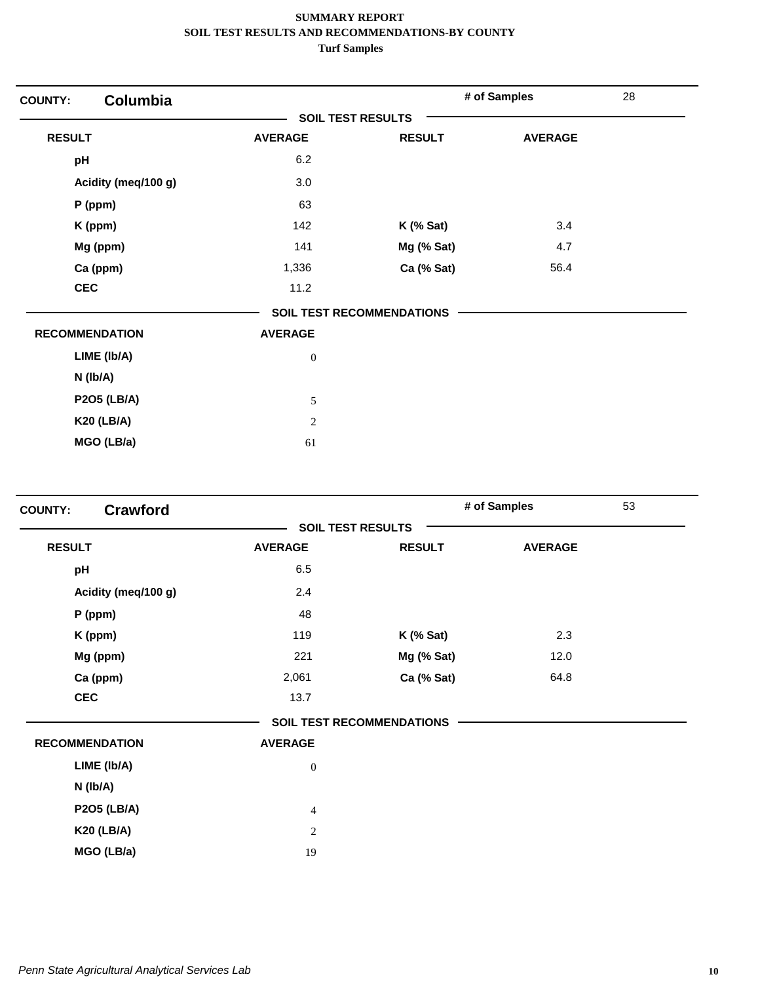| <b>COUNTY:</b>        | <b>Columbia</b>     |                          |                                  | # of Samples   | 28 |
|-----------------------|---------------------|--------------------------|----------------------------------|----------------|----|
|                       |                     | <b>SOIL TEST RESULTS</b> |                                  |                |    |
| <b>RESULT</b>         |                     | <b>AVERAGE</b>           | <b>RESULT</b>                    | <b>AVERAGE</b> |    |
| pH                    |                     | 6.2                      |                                  |                |    |
|                       | Acidity (meq/100 g) | 3.0                      |                                  |                |    |
|                       | $P$ (ppm)           | 63                       |                                  |                |    |
|                       | K (ppm)             | 142                      | $K$ (% Sat)                      | 3.4            |    |
|                       | Mg (ppm)            | 141                      | Mg (% Sat)                       | 4.7            |    |
|                       | Ca (ppm)            | 1,336                    | Ca (% Sat)                       | 56.4           |    |
| <b>CEC</b>            |                     | 11.2                     |                                  |                |    |
|                       |                     |                          | <b>SOIL TEST RECOMMENDATIONS</b> |                |    |
| <b>RECOMMENDATION</b> |                     | <b>AVERAGE</b>           |                                  |                |    |
|                       | LIME (Ib/A)         | $\boldsymbol{0}$         |                                  |                |    |
|                       | N (Ib/A)            |                          |                                  |                |    |
|                       | <b>P2O5 (LB/A)</b>  | 5                        |                                  |                |    |
|                       | <b>K20 (LB/A)</b>   | 2                        |                                  |                |    |
|                       | MGO (LB/a)          | 61                       |                                  |                |    |

|                       |                          |                                  | # of Samples   | 53 |
|-----------------------|--------------------------|----------------------------------|----------------|----|
|                       | <b>SOIL TEST RESULTS</b> |                                  |                |    |
| <b>RESULT</b>         | <b>AVERAGE</b>           | <b>RESULT</b>                    | <b>AVERAGE</b> |    |
| pH                    | 6.5                      |                                  |                |    |
| Acidity (meq/100 g)   | 2.4                      |                                  |                |    |
| P (ppm)               | 48                       |                                  |                |    |
| K (ppm)               | 119                      | $K$ (% Sat)                      | 2.3            |    |
| Mg (ppm)              | 221                      | Mg (% Sat)                       | 12.0           |    |
| Ca (ppm)              | 2,061                    | Ca (% Sat)                       | 64.8           |    |
| <b>CEC</b>            | 13.7                     |                                  |                |    |
|                       |                          | <b>SOIL TEST RECOMMENDATIONS</b> |                |    |
| <b>RECOMMENDATION</b> | <b>AVERAGE</b>           |                                  |                |    |
| LIME (Ib/A)           | $\mathbf{0}$             |                                  |                |    |
| N (Ib/A)              |                          |                                  |                |    |
| <b>P2O5 (LB/A)</b>    | $\overline{4}$           |                                  |                |    |
| <b>K20 (LB/A)</b>     | 2                        |                                  |                |    |
| MGO (LB/a)            | 19                       |                                  |                |    |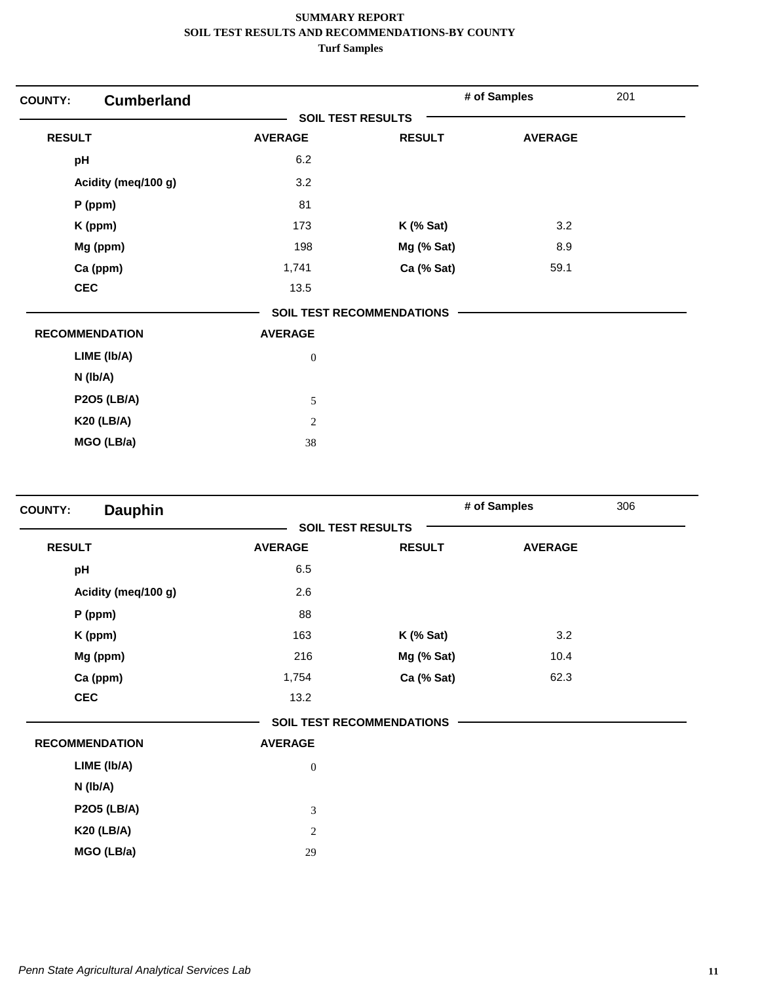| <b>Cumberland</b><br><b>COUNTY:</b> |                          |                                  | # of Samples   | 201 |
|-------------------------------------|--------------------------|----------------------------------|----------------|-----|
|                                     | <b>SOIL TEST RESULTS</b> |                                  |                |     |
| <b>RESULT</b>                       | <b>AVERAGE</b>           | <b>RESULT</b>                    | <b>AVERAGE</b> |     |
| pH                                  | 6.2                      |                                  |                |     |
| Acidity (meq/100 g)                 | 3.2                      |                                  |                |     |
| P (ppm)                             | 81                       |                                  |                |     |
| K (ppm)                             | 173                      | $K$ (% Sat)                      | 3.2            |     |
| Mg (ppm)                            | 198                      | Mg (% Sat)                       | 8.9            |     |
| Ca (ppm)                            | 1,741                    | Ca (% Sat)                       | 59.1           |     |
| <b>CEC</b>                          | 13.5                     |                                  |                |     |
|                                     |                          | <b>SOIL TEST RECOMMENDATIONS</b> |                |     |
| <b>RECOMMENDATION</b>               | <b>AVERAGE</b>           |                                  |                |     |
| LIME (Ib/A)                         | $\boldsymbol{0}$         |                                  |                |     |
| N (Ib/A)                            |                          |                                  |                |     |
| <b>P2O5 (LB/A)</b>                  | 5                        |                                  |                |     |
| <b>K20 (LB/A)</b>                   | $\overline{2}$           |                                  |                |     |
| MGO (LB/a)                          | 38                       |                                  |                |     |

| <b>Dauphin</b><br><b>COUNTY:</b> |                |                                  | # of Samples   | 306 |
|----------------------------------|----------------|----------------------------------|----------------|-----|
|                                  |                | <b>SOIL TEST RESULTS</b>         |                |     |
| <b>RESULT</b>                    | <b>AVERAGE</b> | <b>RESULT</b>                    | <b>AVERAGE</b> |     |
| pH                               | 6.5            |                                  |                |     |
| Acidity (meq/100 g)              | 2.6            |                                  |                |     |
| P (ppm)                          | 88             |                                  |                |     |
| K (ppm)                          | 163            | $K$ (% Sat)                      | 3.2            |     |
| Mg (ppm)                         | 216            | Mg (% Sat)                       | 10.4           |     |
| Ca (ppm)                         | 1,754          | Ca (% Sat)                       | 62.3           |     |
| <b>CEC</b>                       | 13.2           |                                  |                |     |
|                                  |                | <b>SOIL TEST RECOMMENDATIONS</b> |                |     |
| <b>RECOMMENDATION</b>            | <b>AVERAGE</b> |                                  |                |     |
| LIME (Ib/A)                      | $\mathbf{0}$   |                                  |                |     |
| N (Ib/A)                         |                |                                  |                |     |
| <b>P2O5 (LB/A)</b>               | 3              |                                  |                |     |
| <b>K20 (LB/A)</b>                | $\overline{c}$ |                                  |                |     |
| MGO (LB/a)                       | 29             |                                  |                |     |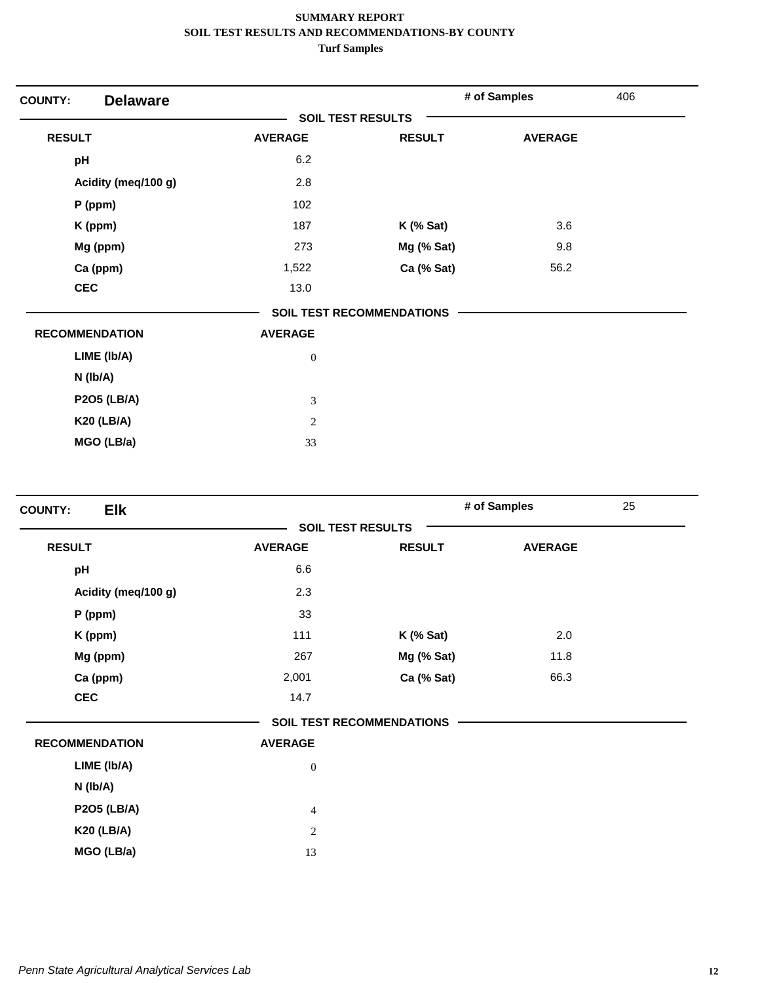| <b>Delaware</b><br><b>COUNTY:</b> |                          |                                  | # of Samples   | 406 |
|-----------------------------------|--------------------------|----------------------------------|----------------|-----|
|                                   | <b>SOIL TEST RESULTS</b> |                                  |                |     |
| <b>RESULT</b>                     | <b>AVERAGE</b>           | <b>RESULT</b>                    | <b>AVERAGE</b> |     |
| pH                                | 6.2                      |                                  |                |     |
| Acidity (meq/100 g)               | 2.8                      |                                  |                |     |
| P (ppm)                           | 102                      |                                  |                |     |
| K (ppm)                           | 187                      | $K$ (% Sat)                      | 3.6            |     |
| Mg (ppm)                          | 273                      | Mg (% Sat)                       | 9.8            |     |
| Ca (ppm)                          | 1,522                    | Ca (% Sat)                       | 56.2           |     |
| <b>CEC</b>                        | 13.0                     |                                  |                |     |
|                                   |                          | <b>SOIL TEST RECOMMENDATIONS</b> |                |     |
| <b>RECOMMENDATION</b>             | <b>AVERAGE</b>           |                                  |                |     |
| LIME (Ib/A)                       | $\boldsymbol{0}$         |                                  |                |     |
| N (Ib/A)                          |                          |                                  |                |     |
| <b>P2O5 (LB/A)</b>                | 3                        |                                  |                |     |
| <b>K20 (LB/A)</b>                 | $\overline{2}$           |                                  |                |     |
| MGO (LB/a)                        | 33                       |                                  |                |     |

| <b>Elk</b><br><b>COUNTY:</b> |                  |                                  | # of Samples   | 25 |
|------------------------------|------------------|----------------------------------|----------------|----|
|                              |                  | <b>SOIL TEST RESULTS</b>         |                |    |
| <b>RESULT</b>                | <b>AVERAGE</b>   | <b>RESULT</b>                    | <b>AVERAGE</b> |    |
| pH                           | 6.6              |                                  |                |    |
| Acidity (meq/100 g)          | 2.3              |                                  |                |    |
| P (ppm)                      | 33               |                                  |                |    |
| K (ppm)                      | 111              | <b>K</b> (% Sat)                 | 2.0            |    |
| Mg (ppm)                     | 267              | Mg (% Sat)                       | 11.8           |    |
| Ca (ppm)                     | 2,001            | Ca (% Sat)                       | 66.3           |    |
| <b>CEC</b>                   | 14.7             |                                  |                |    |
|                              |                  | <b>SOIL TEST RECOMMENDATIONS</b> |                |    |
| <b>RECOMMENDATION</b>        | <b>AVERAGE</b>   |                                  |                |    |
| LIME (Ib/A)                  | $\boldsymbol{0}$ |                                  |                |    |
| N (Ib/A)                     |                  |                                  |                |    |
| <b>P2O5 (LB/A)</b>           | $\overline{4}$   |                                  |                |    |
| <b>K20 (LB/A)</b>            | $\sqrt{2}$       |                                  |                |    |
| MGO (LB/a)                   | 13               |                                  |                |    |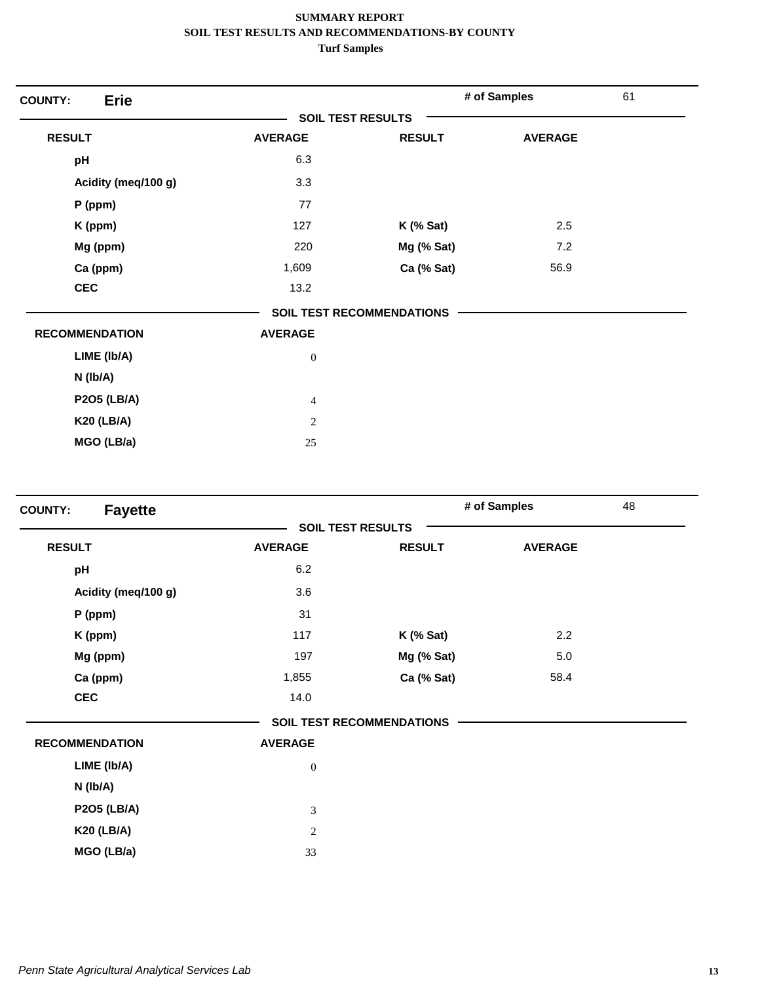| <b>Erie</b><br><b>COUNTY:</b> |                  |                                  | # of Samples   | 61 |
|-------------------------------|------------------|----------------------------------|----------------|----|
|                               |                  | <b>SOIL TEST RESULTS</b>         |                |    |
| <b>RESULT</b>                 | <b>AVERAGE</b>   | <b>RESULT</b>                    | <b>AVERAGE</b> |    |
| pH                            | 6.3              |                                  |                |    |
| Acidity (meq/100 g)           | 3.3              |                                  |                |    |
| $P$ (ppm)                     | 77               |                                  |                |    |
| K (ppm)                       | 127              | $K$ (% Sat)                      | 2.5            |    |
| Mg (ppm)                      | 220              | Mg (% Sat)                       | 7.2            |    |
| Ca (ppm)                      | 1,609            | Ca (% Sat)                       | 56.9           |    |
| <b>CEC</b>                    | 13.2             |                                  |                |    |
|                               |                  | <b>SOIL TEST RECOMMENDATIONS</b> |                |    |
| <b>RECOMMENDATION</b>         | <b>AVERAGE</b>   |                                  |                |    |
| LIME (Ib/A)                   | $\boldsymbol{0}$ |                                  |                |    |
| N (Ib/A)                      |                  |                                  |                |    |
| <b>P2O5 (LB/A)</b>            | $\overline{4}$   |                                  |                |    |
| <b>K20 (LB/A)</b>             | $\overline{2}$   |                                  |                |    |
| MGO (LB/a)                    | $25\,$           |                                  |                |    |

| <b>Fayette</b><br><b>COUNTY:</b> |                  |                                  | # of Samples   | 48 |
|----------------------------------|------------------|----------------------------------|----------------|----|
|                                  |                  | <b>SOIL TEST RESULTS</b>         |                |    |
| <b>RESULT</b>                    | <b>AVERAGE</b>   | <b>RESULT</b>                    | <b>AVERAGE</b> |    |
| pH                               | 6.2              |                                  |                |    |
| Acidity (meq/100 g)              | 3.6              |                                  |                |    |
| $P$ (ppm)                        | 31               |                                  |                |    |
| K (ppm)                          | 117              | $K$ (% Sat)                      | 2.2            |    |
| Mg (ppm)                         | 197              | Mg (% Sat)                       | 5.0            |    |
| Ca (ppm)                         | 1,855            | Ca (% Sat)                       | 58.4           |    |
| <b>CEC</b>                       | 14.0             |                                  |                |    |
|                                  |                  | <b>SOIL TEST RECOMMENDATIONS</b> |                |    |
| <b>RECOMMENDATION</b>            | <b>AVERAGE</b>   |                                  |                |    |
| LIME (Ib/A)                      | $\boldsymbol{0}$ |                                  |                |    |
| N (lb/A)                         |                  |                                  |                |    |
| <b>P2O5 (LB/A)</b>               | $\mathfrak{Z}$   |                                  |                |    |
| <b>K20 (LB/A)</b>                | $\overline{c}$   |                                  |                |    |
| MGO (LB/a)                       | 33               |                                  |                |    |
|                                  |                  |                                  |                |    |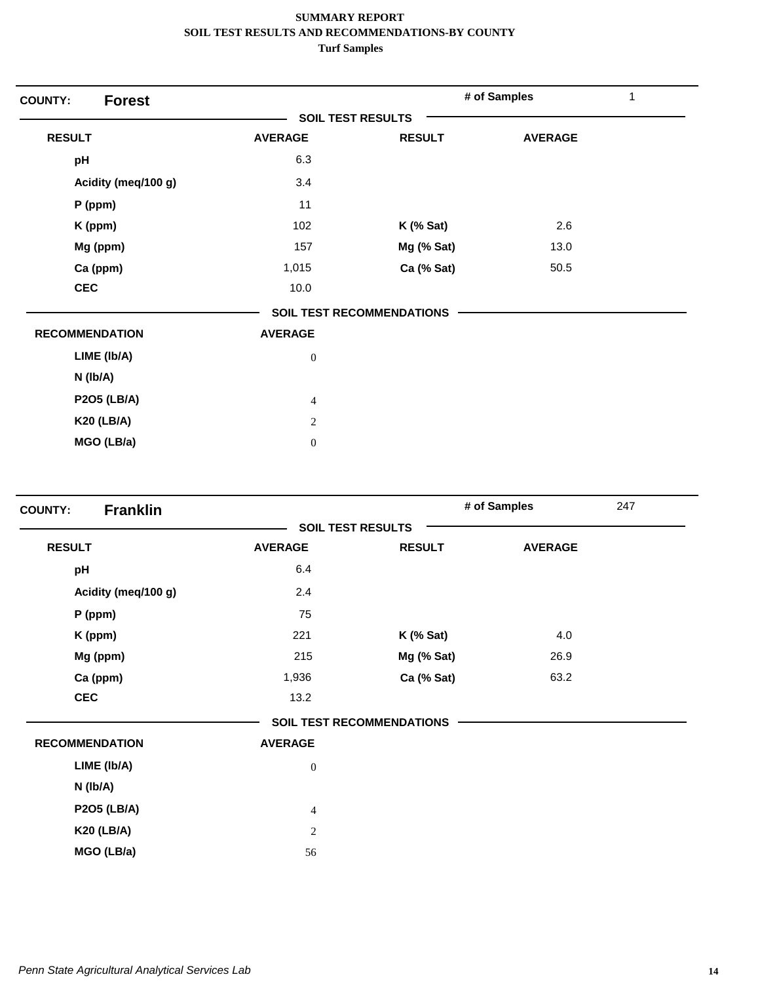| <b>Forest</b><br><b>COUNTY:</b> |                  |                                  | # of Samples   | 1 |
|---------------------------------|------------------|----------------------------------|----------------|---|
|                                 |                  | <b>SOIL TEST RESULTS</b>         |                |   |
| <b>RESULT</b>                   | <b>AVERAGE</b>   | <b>RESULT</b>                    | <b>AVERAGE</b> |   |
| pH                              | 6.3              |                                  |                |   |
| Acidity (meq/100 g)             | 3.4              |                                  |                |   |
| P (ppm)                         | 11               |                                  |                |   |
| K (ppm)                         | 102              | $K$ (% Sat)                      | 2.6            |   |
| Mg (ppm)                        | 157              | Mg (% Sat)                       | 13.0           |   |
| Ca (ppm)                        | 1,015            | Ca (% Sat)                       | 50.5           |   |
| <b>CEC</b>                      | 10.0             |                                  |                |   |
|                                 |                  | <b>SOIL TEST RECOMMENDATIONS</b> |                |   |
| <b>RECOMMENDATION</b>           | <b>AVERAGE</b>   |                                  |                |   |
| LIME (Ib/A)                     | $\boldsymbol{0}$ |                                  |                |   |
| $N$ (lb/A)                      |                  |                                  |                |   |
| <b>P2O5 (LB/A)</b>              | $\overline{4}$   |                                  |                |   |
| <b>K20 (LB/A)</b>               | $\overline{2}$   |                                  |                |   |
| MGO (LB/a)                      | $\boldsymbol{0}$ |                                  |                |   |

| <b>Franklin</b><br><b>COUNTY:</b> |                          |                                  | # of Samples   | 247 |
|-----------------------------------|--------------------------|----------------------------------|----------------|-----|
|                                   | <b>SOIL TEST RESULTS</b> |                                  |                |     |
| <b>RESULT</b>                     | <b>AVERAGE</b>           | <b>RESULT</b>                    | <b>AVERAGE</b> |     |
| pH                                | 6.4                      |                                  |                |     |
| Acidity (meq/100 g)               | 2.4                      |                                  |                |     |
| P (ppm)                           | 75                       |                                  |                |     |
| K (ppm)                           | 221                      | $K$ (% Sat)                      | 4.0            |     |
| Mg (ppm)                          | 215                      | Mg (% Sat)                       | 26.9           |     |
| Ca (ppm)                          | 1,936                    | Ca (% Sat)                       | 63.2           |     |
| <b>CEC</b>                        | 13.2                     |                                  |                |     |
|                                   |                          | <b>SOIL TEST RECOMMENDATIONS</b> |                |     |
| <b>RECOMMENDATION</b>             | <b>AVERAGE</b>           |                                  |                |     |
| LIME (Ib/A)                       | $\mathbf{0}$             |                                  |                |     |
| N (Ib/A)                          |                          |                                  |                |     |
| <b>P2O5 (LB/A)</b>                | $\overline{4}$           |                                  |                |     |
| <b>K20 (LB/A)</b>                 | 2                        |                                  |                |     |
| MGO (LB/a)                        | 56                       |                                  |                |     |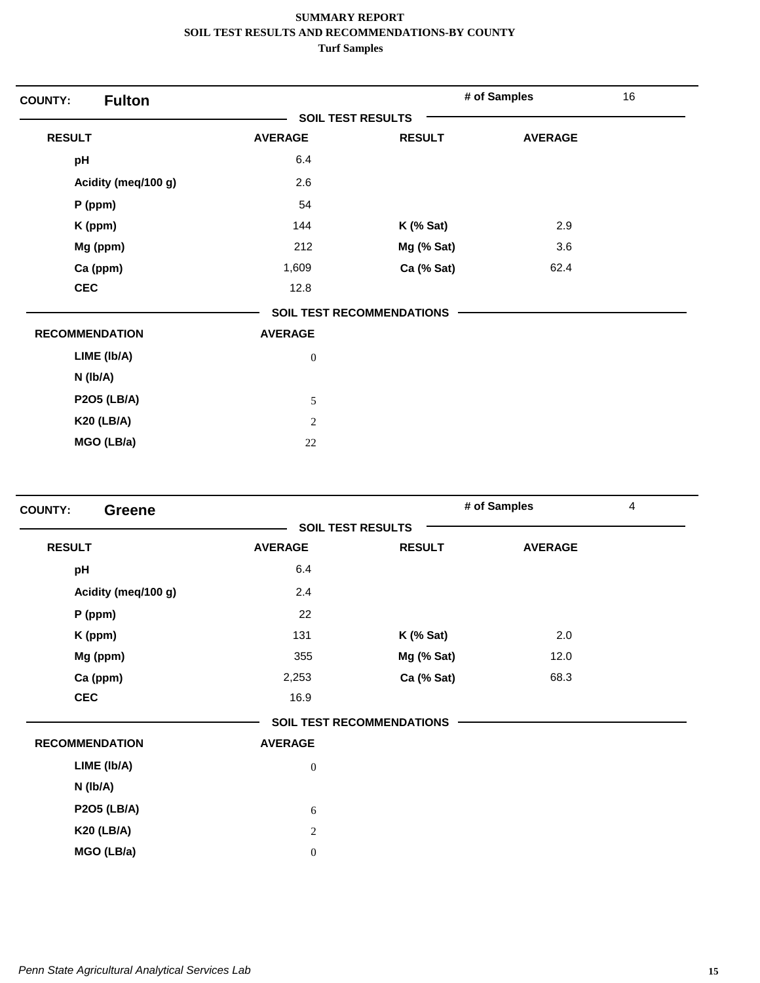| <b>Fulton</b><br><b>COUNTY:</b> |                          |                                  | # of Samples   | 16 |
|---------------------------------|--------------------------|----------------------------------|----------------|----|
|                                 | <b>SOIL TEST RESULTS</b> |                                  |                |    |
| <b>RESULT</b>                   | <b>AVERAGE</b>           | <b>RESULT</b>                    | <b>AVERAGE</b> |    |
| pH                              | 6.4                      |                                  |                |    |
| Acidity (meq/100 g)             | 2.6                      |                                  |                |    |
| $P$ (ppm)                       | 54                       |                                  |                |    |
| K (ppm)                         | 144                      | $K$ (% Sat)                      | 2.9            |    |
| Mg (ppm)                        | 212                      | Mg (% Sat)                       | 3.6            |    |
| Ca (ppm)                        | 1,609                    | Ca (% Sat)                       | 62.4           |    |
| <b>CEC</b>                      | 12.8                     |                                  |                |    |
|                                 |                          | <b>SOIL TEST RECOMMENDATIONS</b> |                |    |
| <b>RECOMMENDATION</b>           | <b>AVERAGE</b>           |                                  |                |    |
| LIME (Ib/A)                     | $\boldsymbol{0}$         |                                  |                |    |
| N (Ib/A)                        |                          |                                  |                |    |
| <b>P2O5 (LB/A)</b>              | 5                        |                                  |                |    |
| <b>K20 (LB/A)</b>               | $\overline{2}$           |                                  |                |    |
| MGO (LB/a)                      | 22                       |                                  |                |    |

| <b>COUNTY:</b><br><b>Greene</b> |                |                                  | # of Samples   | $\overline{4}$ |
|---------------------------------|----------------|----------------------------------|----------------|----------------|
|                                 |                | <b>SOIL TEST RESULTS</b>         |                |                |
| <b>RESULT</b>                   | <b>AVERAGE</b> | <b>RESULT</b>                    | <b>AVERAGE</b> |                |
| pH                              | 6.4            |                                  |                |                |
| Acidity (meq/100 g)             | 2.4            |                                  |                |                |
| P (ppm)                         | 22             |                                  |                |                |
| K (ppm)                         | 131            | $K$ (% Sat)                      | 2.0            |                |
| Mg (ppm)                        | 355            | Mg (% Sat)                       | 12.0           |                |
| Ca (ppm)                        | 2,253          | Ca (% Sat)                       | 68.3           |                |
| <b>CEC</b>                      | 16.9           |                                  |                |                |
|                                 |                | <b>SOIL TEST RECOMMENDATIONS</b> |                |                |
| <b>RECOMMENDATION</b>           | <b>AVERAGE</b> |                                  |                |                |
| LIME (Ib/A)                     | $\mathbf{0}$   |                                  |                |                |
| N (Ib/A)                        |                |                                  |                |                |
| <b>P2O5 (LB/A)</b>              | 6              |                                  |                |                |
| <b>K20 (LB/A)</b>               | $\sqrt{2}$     |                                  |                |                |
| MGO (LB/a)                      | $\mathbf{0}$   |                                  |                |                |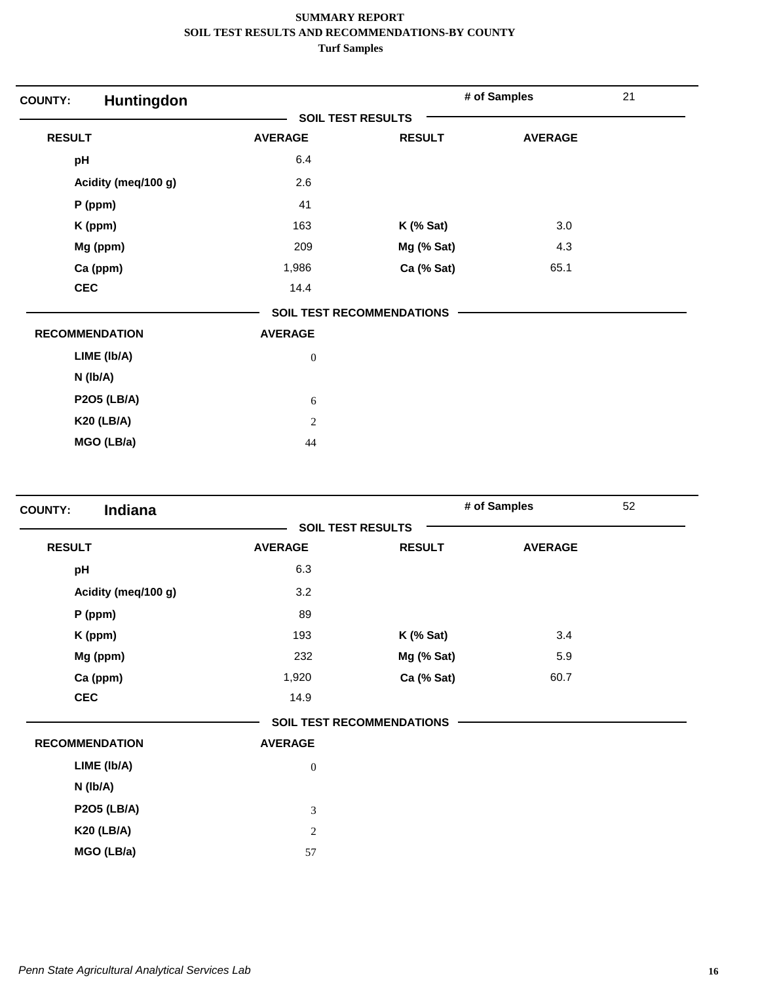| Huntingdon<br><b>COUNTY:</b> |                  |                                  | # of Samples   | 21 |
|------------------------------|------------------|----------------------------------|----------------|----|
|                              |                  | <b>SOIL TEST RESULTS</b>         |                |    |
| <b>RESULT</b>                | <b>AVERAGE</b>   | <b>RESULT</b>                    | <b>AVERAGE</b> |    |
| pH                           | 6.4              |                                  |                |    |
| Acidity (meq/100 g)          | 2.6              |                                  |                |    |
| P (ppm)                      | 41               |                                  |                |    |
| K (ppm)                      | 163              | $K$ (% Sat)                      | 3.0            |    |
| Mg (ppm)                     | 209              | Mg (% Sat)                       | 4.3            |    |
| Ca (ppm)                     | 1,986            | Ca (% Sat)                       | 65.1           |    |
| <b>CEC</b>                   | 14.4             |                                  |                |    |
|                              |                  | <b>SOIL TEST RECOMMENDATIONS</b> |                |    |
| <b>RECOMMENDATION</b>        | <b>AVERAGE</b>   |                                  |                |    |
| LIME (Ib/A)                  | $\boldsymbol{0}$ |                                  |                |    |
| N (Ib/A)                     |                  |                                  |                |    |
| <b>P2O5 (LB/A)</b>           | 6                |                                  |                |    |
| <b>K20 (LB/A)</b>            | $\overline{2}$   |                                  |                |    |
| MGO (LB/a)                   | 44               |                                  |                |    |

| Indiana<br><b>COUNTY:</b> |                  |                                  | # of Samples   | 52 |
|---------------------------|------------------|----------------------------------|----------------|----|
|                           |                  | <b>SOIL TEST RESULTS</b>         |                |    |
| <b>RESULT</b>             | <b>AVERAGE</b>   | <b>RESULT</b>                    | <b>AVERAGE</b> |    |
| pH                        | 6.3              |                                  |                |    |
| Acidity (meq/100 g)       | 3.2              |                                  |                |    |
| P (ppm)                   | 89               |                                  |                |    |
| K (ppm)                   | 193              | $K$ (% Sat)                      | 3.4            |    |
| Mg (ppm)                  | 232              | Mg (% Sat)                       | 5.9            |    |
| Ca (ppm)                  | 1,920            | Ca (% Sat)                       | 60.7           |    |
| <b>CEC</b>                | 14.9             |                                  |                |    |
|                           |                  | <b>SOIL TEST RECOMMENDATIONS</b> |                |    |
| <b>RECOMMENDATION</b>     | <b>AVERAGE</b>   |                                  |                |    |
| LIME (Ib/A)               | $\boldsymbol{0}$ |                                  |                |    |
| N (Ib/A)                  |                  |                                  |                |    |
| <b>P2O5 (LB/A)</b>        | 3                |                                  |                |    |
| <b>K20 (LB/A)</b>         | 2                |                                  |                |    |
| MGO (LB/a)                | 57               |                                  |                |    |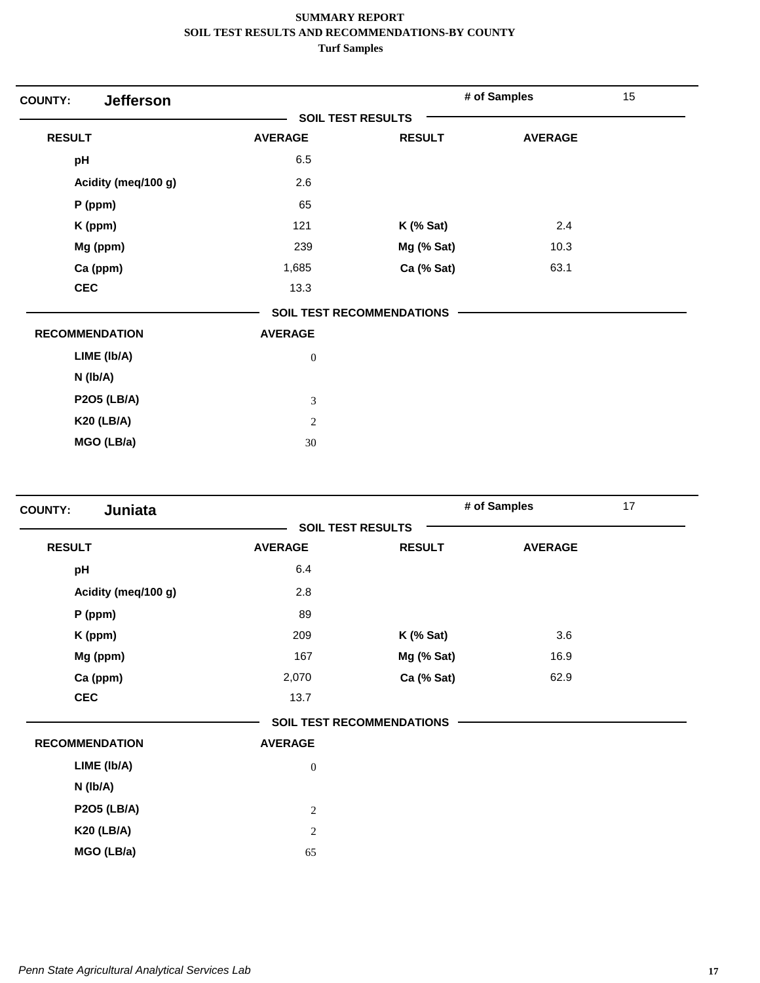| <b>Jefferson</b><br><b>COUNTY:</b> |                          |                                  | # of Samples   | 15 |
|------------------------------------|--------------------------|----------------------------------|----------------|----|
|                                    | <b>SOIL TEST RESULTS</b> |                                  |                |    |
| <b>RESULT</b>                      | <b>AVERAGE</b>           | <b>RESULT</b>                    | <b>AVERAGE</b> |    |
| pH                                 | 6.5                      |                                  |                |    |
| Acidity (meq/100 g)                | 2.6                      |                                  |                |    |
| $P$ (ppm)                          | 65                       |                                  |                |    |
| K (ppm)                            | 121                      | $K$ (% Sat)                      | 2.4            |    |
| Mg (ppm)                           | 239                      | Mg (% Sat)                       | 10.3           |    |
| Ca (ppm)                           | 1,685                    | Ca (% Sat)                       | 63.1           |    |
| <b>CEC</b>                         | 13.3                     |                                  |                |    |
|                                    |                          | <b>SOIL TEST RECOMMENDATIONS</b> |                |    |
| <b>RECOMMENDATION</b>              | <b>AVERAGE</b>           |                                  |                |    |
| LIME (Ib/A)                        | $\boldsymbol{0}$         |                                  |                |    |
| N (Ib/A)                           |                          |                                  |                |    |
| <b>P2O5 (LB/A)</b>                 | 3                        |                                  |                |    |
| <b>K20 (LB/A)</b>                  | $\mathbf{2}$             |                                  |                |    |
| MGO (LB/a)                         | 30                       |                                  |                |    |

| Juniata<br><b>COUNTY:</b> |                |                                  | # of Samples   | 17 |
|---------------------------|----------------|----------------------------------|----------------|----|
|                           |                | <b>SOIL TEST RESULTS</b>         |                |    |
| <b>RESULT</b>             | <b>AVERAGE</b> | <b>RESULT</b>                    | <b>AVERAGE</b> |    |
| pH                        | 6.4            |                                  |                |    |
| Acidity (meq/100 g)       | 2.8            |                                  |                |    |
| P (ppm)                   | 89             |                                  |                |    |
| K (ppm)                   | 209            | $K$ (% Sat)                      | 3.6            |    |
| Mg (ppm)                  | 167            | Mg (% Sat)                       | 16.9           |    |
| Ca (ppm)                  | 2,070          | Ca (% Sat)                       | 62.9           |    |
| <b>CEC</b>                | 13.7           |                                  |                |    |
|                           |                | <b>SOIL TEST RECOMMENDATIONS</b> |                |    |
| <b>RECOMMENDATION</b>     | <b>AVERAGE</b> |                                  |                |    |
| LIME (Ib/A)               | $\mathbf{0}$   |                                  |                |    |
| N (Ib/A)                  |                |                                  |                |    |
| <b>P2O5 (LB/A)</b>        | $\sqrt{2}$     |                                  |                |    |
| <b>K20 (LB/A)</b>         | $\sqrt{2}$     |                                  |                |    |
| MGO (LB/a)                | 65             |                                  |                |    |
|                           |                |                                  |                |    |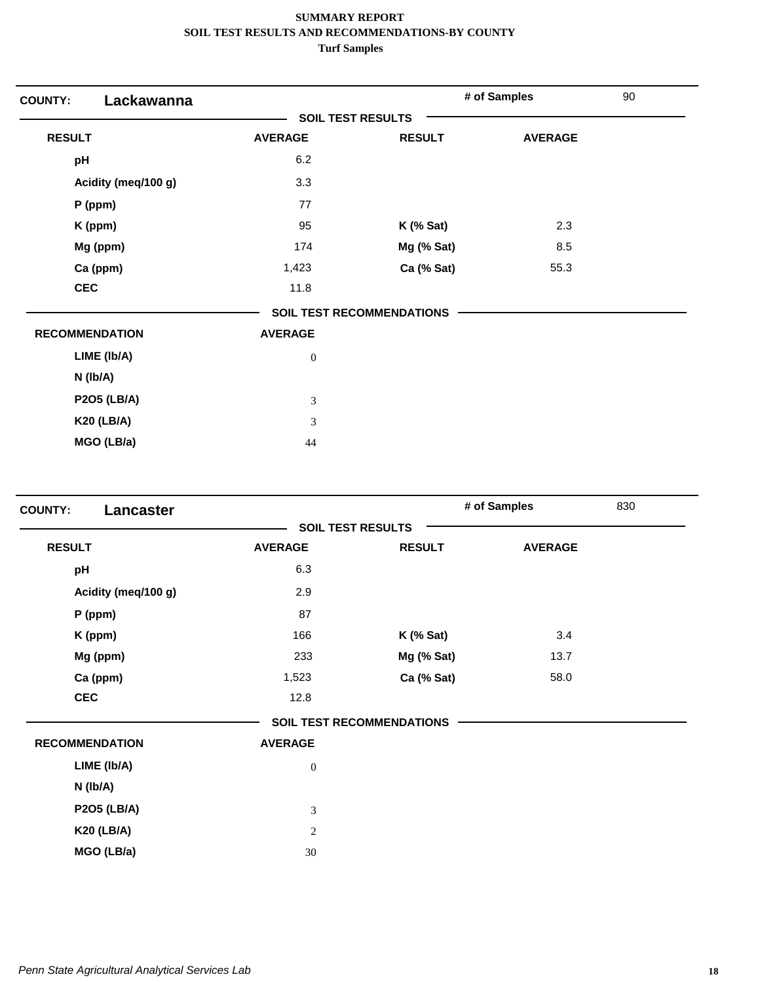| Lackawanna<br><b>COUNTY:</b> |                          |                                  | # of Samples   | 90 |
|------------------------------|--------------------------|----------------------------------|----------------|----|
|                              | <b>SOIL TEST RESULTS</b> |                                  |                |    |
| <b>RESULT</b>                | <b>AVERAGE</b>           | <b>RESULT</b>                    | <b>AVERAGE</b> |    |
| pH                           | 6.2                      |                                  |                |    |
| Acidity (meq/100 g)          | 3.3                      |                                  |                |    |
| P (ppm)                      | 77                       |                                  |                |    |
| K (ppm)                      | 95                       | $K$ (% Sat)                      | 2.3            |    |
| Mg (ppm)                     | 174                      | Mg (% Sat)                       | 8.5            |    |
| Ca (ppm)                     | 1,423                    | Ca (% Sat)                       | 55.3           |    |
| <b>CEC</b>                   | 11.8                     |                                  |                |    |
|                              |                          | <b>SOIL TEST RECOMMENDATIONS</b> |                |    |
| <b>RECOMMENDATION</b>        | <b>AVERAGE</b>           |                                  |                |    |
| LIME (Ib/A)                  | $\boldsymbol{0}$         |                                  |                |    |
| N (Ib/A)                     |                          |                                  |                |    |
| <b>P2O5 (LB/A)</b>           | 3                        |                                  |                |    |
| <b>K20 (LB/A)</b>            | 3                        |                                  |                |    |
| MGO (LB/a)                   | 44                       |                                  |                |    |

| Lancaster<br><b>COUNTY:</b> |                |                                  | # of Samples   | 830 |
|-----------------------------|----------------|----------------------------------|----------------|-----|
|                             |                | <b>SOIL TEST RESULTS</b>         |                |     |
| <b>RESULT</b>               | <b>AVERAGE</b> | <b>RESULT</b>                    | <b>AVERAGE</b> |     |
| pH                          | 6.3            |                                  |                |     |
| Acidity (meq/100 g)         | 2.9            |                                  |                |     |
| P (ppm)                     | 87             |                                  |                |     |
| K (ppm)                     | 166            | $K$ (% Sat)                      | 3.4            |     |
| Mg (ppm)                    | 233            | Mg (% Sat)                       | 13.7           |     |
| Ca (ppm)                    | 1,523          | Ca (% Sat)                       | 58.0           |     |
| <b>CEC</b>                  | 12.8           |                                  |                |     |
|                             |                | <b>SOIL TEST RECOMMENDATIONS</b> |                |     |
| <b>RECOMMENDATION</b>       | <b>AVERAGE</b> |                                  |                |     |
| LIME (Ib/A)                 | $\mathbf{0}$   |                                  |                |     |
| N (Ib/A)                    |                |                                  |                |     |
| <b>P2O5 (LB/A)</b>          | 3              |                                  |                |     |
| <b>K20 (LB/A)</b>           | $\overline{c}$ |                                  |                |     |
| MGO (LB/a)                  | 30             |                                  |                |     |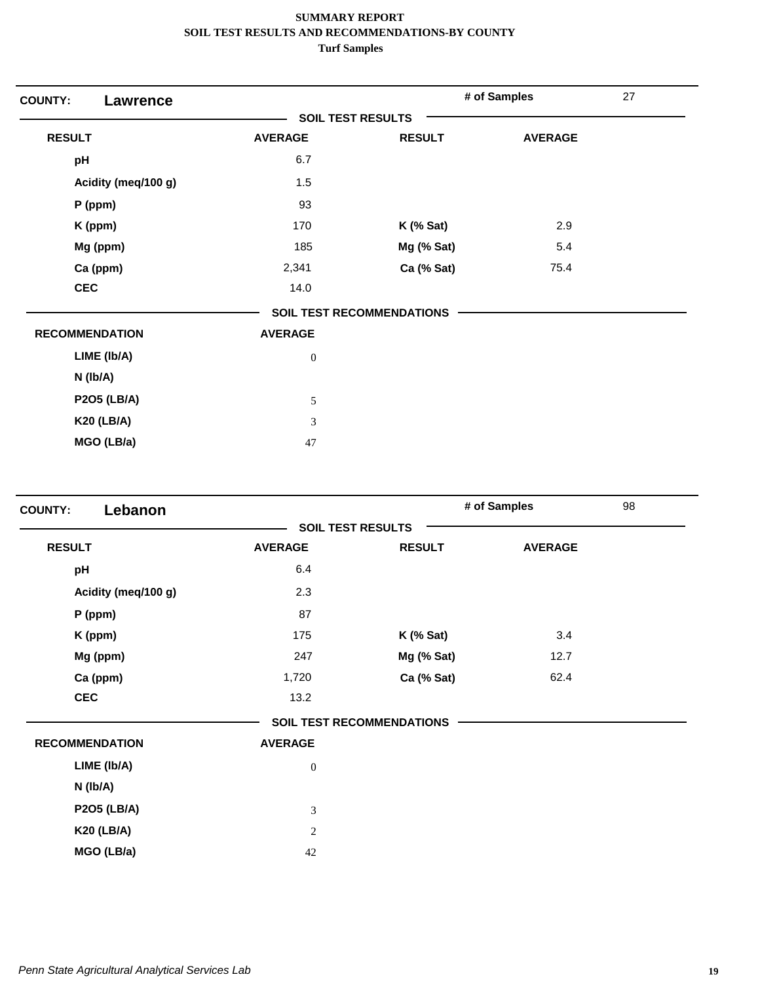| <b>COUNTY:</b><br>Lawrence |                          |                                  | # of Samples   | 27 |
|----------------------------|--------------------------|----------------------------------|----------------|----|
|                            | <b>SOIL TEST RESULTS</b> |                                  |                |    |
| <b>RESULT</b>              | <b>AVERAGE</b>           | <b>RESULT</b>                    | <b>AVERAGE</b> |    |
| pH                         | 6.7                      |                                  |                |    |
| Acidity (meq/100 g)        | 1.5                      |                                  |                |    |
| P (ppm)                    | 93                       |                                  |                |    |
| K (ppm)                    | 170                      | $K$ (% Sat)                      | 2.9            |    |
| Mg (ppm)                   | 185                      | Mg (% Sat)                       | 5.4            |    |
| Ca (ppm)                   | 2,341                    | Ca (% Sat)                       | 75.4           |    |
| <b>CEC</b>                 | 14.0                     |                                  |                |    |
|                            |                          | <b>SOIL TEST RECOMMENDATIONS</b> |                |    |
| <b>RECOMMENDATION</b>      | <b>AVERAGE</b>           |                                  |                |    |
| LIME (Ib/A)                | $\boldsymbol{0}$         |                                  |                |    |
| N (Ib/A)                   |                          |                                  |                |    |
| <b>P2O5 (LB/A)</b>         | $\sqrt{5}$               |                                  |                |    |
| <b>K20 (LB/A)</b>          | 3                        |                                  |                |    |
| MGO (LB/a)                 | 47                       |                                  |                |    |

| <b>SOIL TEST RESULTS</b><br><b>RESULT</b><br><b>AVERAGE</b><br><b>RESULT</b><br><b>AVERAGE</b><br>6.4<br>pH<br>2.3<br>Acidity (meq/100 g)<br>87<br>P (ppm)<br>175<br>3.4<br>$K$ (% Sat)<br>K (ppm)<br>Mg (ppm)<br>247<br>Mg (% Sat)<br>12.7<br>Ca (ppm)<br>Ca (% Sat)<br>62.4<br>1,720<br><b>CEC</b><br>13.2<br><b>SOIL TEST RECOMMENDATIONS</b> | 98 |
|--------------------------------------------------------------------------------------------------------------------------------------------------------------------------------------------------------------------------------------------------------------------------------------------------------------------------------------------------|----|
|                                                                                                                                                                                                                                                                                                                                                  |    |
|                                                                                                                                                                                                                                                                                                                                                  |    |
|                                                                                                                                                                                                                                                                                                                                                  |    |
|                                                                                                                                                                                                                                                                                                                                                  |    |
|                                                                                                                                                                                                                                                                                                                                                  |    |
|                                                                                                                                                                                                                                                                                                                                                  |    |
|                                                                                                                                                                                                                                                                                                                                                  |    |
|                                                                                                                                                                                                                                                                                                                                                  |    |
|                                                                                                                                                                                                                                                                                                                                                  |    |
|                                                                                                                                                                                                                                                                                                                                                  |    |
| <b>RECOMMENDATION</b><br><b>AVERAGE</b>                                                                                                                                                                                                                                                                                                          |    |
| LIME (Ib/A)<br>$\mathbf{0}$                                                                                                                                                                                                                                                                                                                      |    |
| N (Ib/A)                                                                                                                                                                                                                                                                                                                                         |    |
| <b>P2O5 (LB/A)</b><br>$\mathfrak{Z}$                                                                                                                                                                                                                                                                                                             |    |
| <b>K20 (LB/A)</b><br>$\sqrt{2}$                                                                                                                                                                                                                                                                                                                  |    |
| MGO (LB/a)<br>42                                                                                                                                                                                                                                                                                                                                 |    |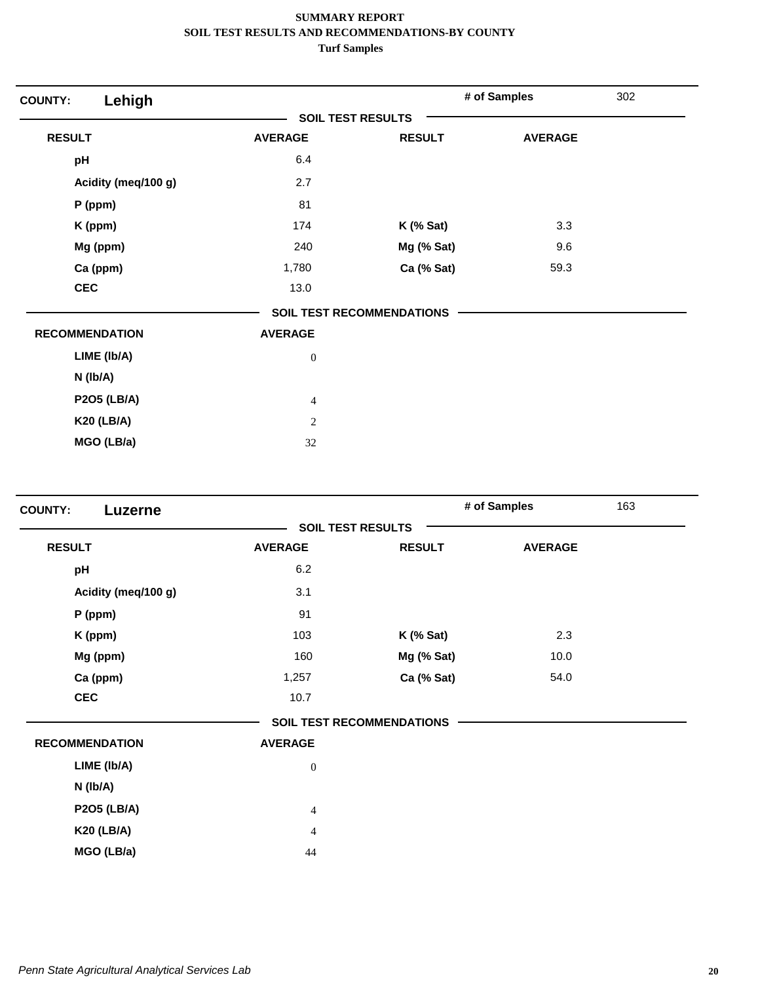| Lehigh<br><b>COUNTY:</b> |                  |                                  | # of Samples   | 302 |
|--------------------------|------------------|----------------------------------|----------------|-----|
|                          |                  | <b>SOIL TEST RESULTS</b>         |                |     |
| <b>RESULT</b>            | <b>AVERAGE</b>   | <b>RESULT</b>                    | <b>AVERAGE</b> |     |
| pH                       | 6.4              |                                  |                |     |
| Acidity (meq/100 g)      | 2.7              |                                  |                |     |
| P (ppm)                  | 81               |                                  |                |     |
| K (ppm)                  | 174              | $K$ (% Sat)                      | 3.3            |     |
| Mg (ppm)                 | 240              | Mg (% Sat)                       | 9.6            |     |
| Ca (ppm)                 | 1,780            | Ca (% Sat)                       | 59.3           |     |
| <b>CEC</b>               | 13.0             |                                  |                |     |
|                          |                  | <b>SOIL TEST RECOMMENDATIONS</b> |                |     |
| <b>RECOMMENDATION</b>    | <b>AVERAGE</b>   |                                  |                |     |
| LIME (Ib/A)              | $\boldsymbol{0}$ |                                  |                |     |
| N (Ib/A)                 |                  |                                  |                |     |
| <b>P2O5 (LB/A)</b>       | $\overline{4}$   |                                  |                |     |
| <b>K20 (LB/A)</b>        | $\overline{2}$   |                                  |                |     |
| MGO (LB/a)               | 32               |                                  |                |     |

|                       |                          |                                  | # of Samples   | 163 |
|-----------------------|--------------------------|----------------------------------|----------------|-----|
|                       | <b>SOIL TEST RESULTS</b> |                                  |                |     |
| <b>RESULT</b>         | <b>AVERAGE</b>           | <b>RESULT</b>                    | <b>AVERAGE</b> |     |
| pH                    | 6.2                      |                                  |                |     |
| Acidity (meq/100 g)   | 3.1                      |                                  |                |     |
| P (ppm)               | 91                       |                                  |                |     |
| K (ppm)               | 103                      | $K$ (% Sat)                      | 2.3            |     |
| Mg (ppm)              | 160                      | Mg (% Sat)                       | 10.0           |     |
| Ca (ppm)              | 1,257                    | Ca (% Sat)                       | 54.0           |     |
| <b>CEC</b>            | 10.7                     |                                  |                |     |
|                       |                          | <b>SOIL TEST RECOMMENDATIONS</b> |                |     |
| <b>RECOMMENDATION</b> | <b>AVERAGE</b>           |                                  |                |     |
| LIME (Ib/A)           | $\mathbf{0}$             |                                  |                |     |
| N (Ib/A)              |                          |                                  |                |     |
| <b>P2O5 (LB/A)</b>    | $\overline{4}$           |                                  |                |     |
| <b>K20 (LB/A)</b>     | $\overline{4}$           |                                  |                |     |
| MGO (LB/a)            | 44                       |                                  |                |     |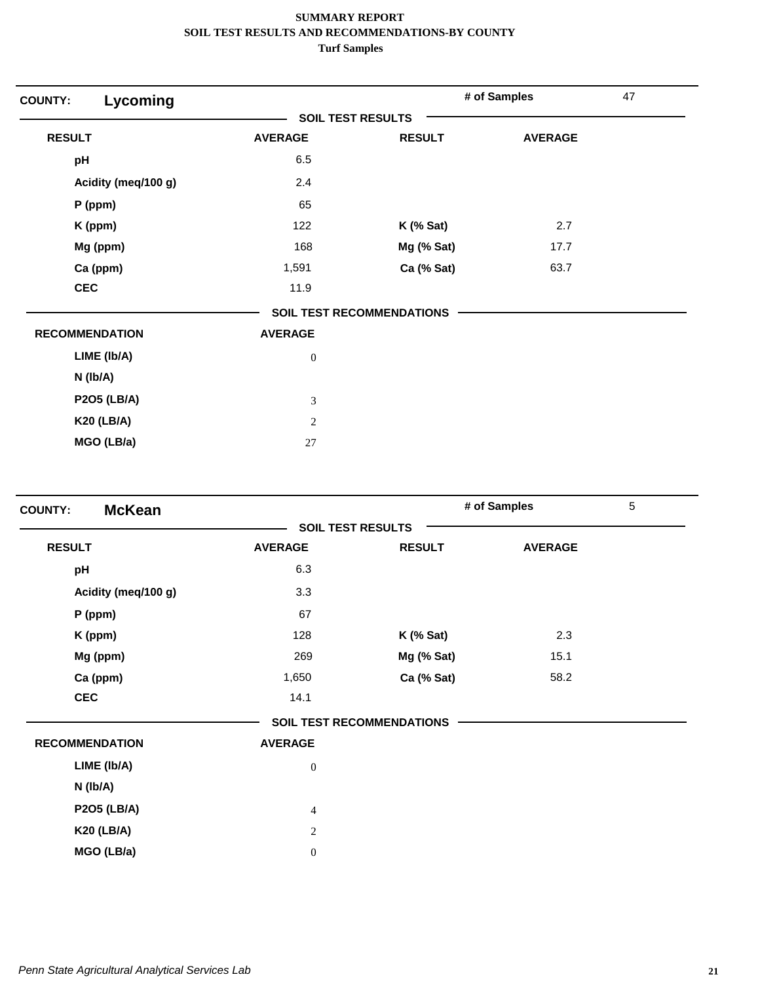| Lycoming<br><b>COUNTY:</b> |                          |                                  | # of Samples   | 47 |
|----------------------------|--------------------------|----------------------------------|----------------|----|
|                            | <b>SOIL TEST RESULTS</b> |                                  |                |    |
| <b>RESULT</b>              | <b>AVERAGE</b>           | <b>RESULT</b>                    | <b>AVERAGE</b> |    |
| pH                         | 6.5                      |                                  |                |    |
| Acidity (meq/100 g)        | 2.4                      |                                  |                |    |
| $P$ (ppm)                  | 65                       |                                  |                |    |
| K (ppm)                    | 122                      | $K$ (% Sat)                      | 2.7            |    |
| Mg (ppm)                   | 168                      | Mg (% Sat)                       | 17.7           |    |
| Ca (ppm)                   | 1,591                    | Ca (% Sat)                       | 63.7           |    |
| <b>CEC</b>                 | 11.9                     |                                  |                |    |
|                            |                          | <b>SOIL TEST RECOMMENDATIONS</b> |                |    |
| <b>RECOMMENDATION</b>      | <b>AVERAGE</b>           |                                  |                |    |
| LIME (Ib/A)                | $\boldsymbol{0}$         |                                  |                |    |
| $N$ (lb/A)                 |                          |                                  |                |    |
| <b>P2O5 (LB/A)</b>         | 3                        |                                  |                |    |
| <b>K20 (LB/A)</b>          | 2                        |                                  |                |    |
| MGO (LB/a)                 | 27                       |                                  |                |    |

| <b>McKean</b><br><b>COUNTY:</b> |                  |                                  | # of Samples   | 5 |
|---------------------------------|------------------|----------------------------------|----------------|---|
|                                 |                  | <b>SOIL TEST RESULTS</b>         |                |   |
| <b>RESULT</b>                   | <b>AVERAGE</b>   | <b>RESULT</b>                    | <b>AVERAGE</b> |   |
| pH                              | 6.3              |                                  |                |   |
| Acidity (meq/100 g)             | 3.3              |                                  |                |   |
| P (ppm)                         | 67               |                                  |                |   |
| K (ppm)                         | 128              | $K$ (% Sat)                      | 2.3            |   |
| Mg (ppm)                        | 269              | Mg (% Sat)                       | 15.1           |   |
| Ca (ppm)                        | 1,650            | Ca (% Sat)                       | 58.2           |   |
| <b>CEC</b>                      | 14.1             |                                  |                |   |
|                                 |                  | <b>SOIL TEST RECOMMENDATIONS</b> |                |   |
| <b>RECOMMENDATION</b>           | <b>AVERAGE</b>   |                                  |                |   |
| LIME (Ib/A)                     | $\boldsymbol{0}$ |                                  |                |   |
| N (Ib/A)                        |                  |                                  |                |   |
| <b>P2O5 (LB/A)</b>              | $\overline{4}$   |                                  |                |   |
| <b>K20 (LB/A)</b>               | 2                |                                  |                |   |
| MGO (LB/a)                      | $\mathbf{0}$     |                                  |                |   |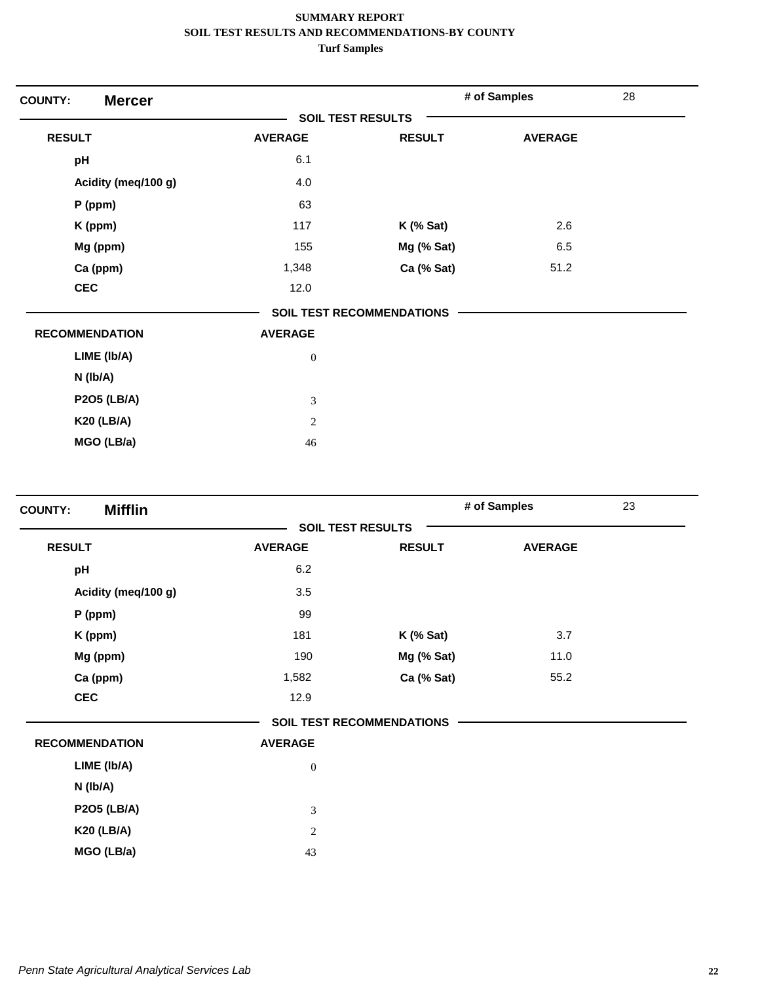| <b>Mercer</b><br><b>COUNTY:</b> |                          |                                  | # of Samples   | 28 |
|---------------------------------|--------------------------|----------------------------------|----------------|----|
|                                 | <b>SOIL TEST RESULTS</b> |                                  |                |    |
| <b>RESULT</b>                   | <b>AVERAGE</b>           | <b>RESULT</b>                    | <b>AVERAGE</b> |    |
| pH                              | 6.1                      |                                  |                |    |
| Acidity (meq/100 g)             | 4.0                      |                                  |                |    |
| P (ppm)                         | 63                       |                                  |                |    |
| K (ppm)                         | 117                      | $K$ (% Sat)                      | 2.6            |    |
| Mg (ppm)                        | 155                      | Mg (% Sat)                       | 6.5            |    |
| Ca (ppm)                        | 1,348                    | Ca (% Sat)                       | 51.2           |    |
| <b>CEC</b>                      | 12.0                     |                                  |                |    |
|                                 |                          | <b>SOIL TEST RECOMMENDATIONS</b> |                |    |
| <b>RECOMMENDATION</b>           | <b>AVERAGE</b>           |                                  |                |    |
| LIME (Ib/A)                     | $\boldsymbol{0}$         |                                  |                |    |
| N (Ib/A)                        |                          |                                  |                |    |
| <b>P2O5 (LB/A)</b>              | 3                        |                                  |                |    |
| <b>K20 (LB/A)</b>               | $\sqrt{2}$               |                                  |                |    |
| MGO (LB/a)                      | 46                       |                                  |                |    |

| <b>Mifflin</b><br><b>COUNTY:</b> |                  |                                  | # of Samples   | 23 |
|----------------------------------|------------------|----------------------------------|----------------|----|
|                                  |                  | <b>SOIL TEST RESULTS</b>         |                |    |
| <b>RESULT</b>                    | <b>AVERAGE</b>   | <b>RESULT</b>                    | <b>AVERAGE</b> |    |
| pH                               | 6.2              |                                  |                |    |
| Acidity (meq/100 g)              | 3.5              |                                  |                |    |
| P (ppm)                          | 99               |                                  |                |    |
| K (ppm)                          | 181              | $K$ (% Sat)                      | 3.7            |    |
| Mg (ppm)                         | 190              | Mg (% Sat)                       | 11.0           |    |
| Ca (ppm)                         | 1,582            | Ca (% Sat)                       | 55.2           |    |
| <b>CEC</b>                       | 12.9             |                                  |                |    |
|                                  |                  | <b>SOIL TEST RECOMMENDATIONS</b> |                |    |
| <b>RECOMMENDATION</b>            | <b>AVERAGE</b>   |                                  |                |    |
| LIME (Ib/A)                      | $\boldsymbol{0}$ |                                  |                |    |
| N (Ib/A)                         |                  |                                  |                |    |
| <b>P2O5 (LB/A)</b>               | 3                |                                  |                |    |
| <b>K20 (LB/A)</b>                | 2                |                                  |                |    |
| MGO (LB/a)                       | 43               |                                  |                |    |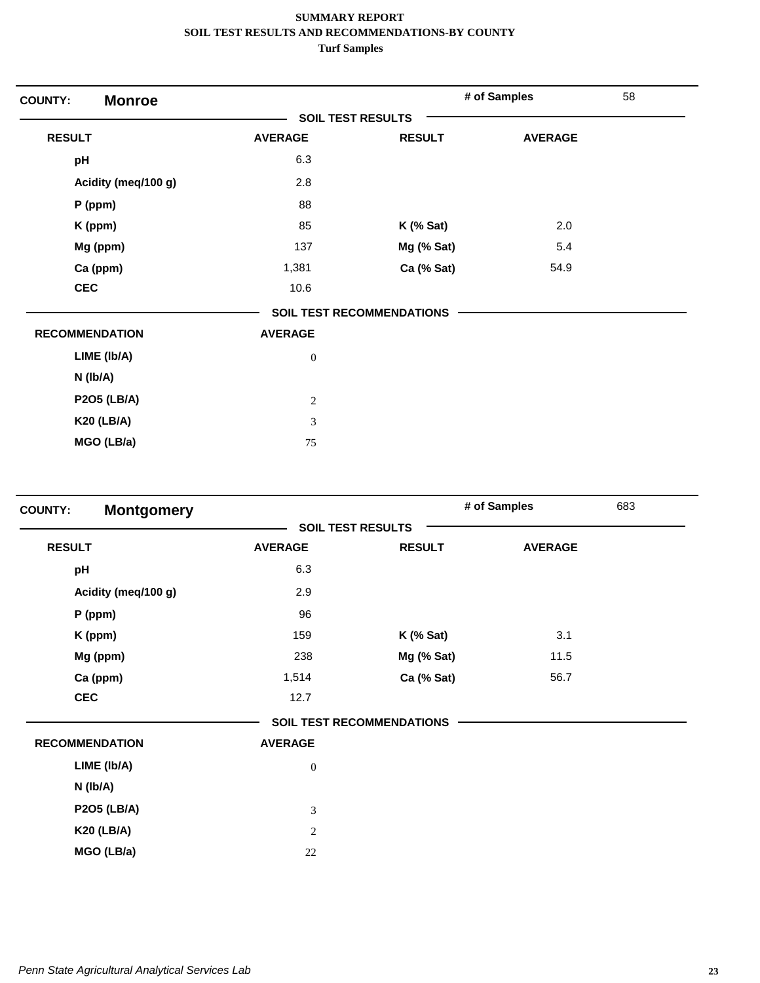| <b>Monroe</b><br><b>COUNTY:</b> |                          |                                  | # of Samples   | 58 |
|---------------------------------|--------------------------|----------------------------------|----------------|----|
|                                 | <b>SOIL TEST RESULTS</b> |                                  |                |    |
| <b>RESULT</b>                   | <b>AVERAGE</b>           | <b>RESULT</b>                    | <b>AVERAGE</b> |    |
| pH                              | 6.3                      |                                  |                |    |
| Acidity (meq/100 g)             | 2.8                      |                                  |                |    |
| $P$ (ppm)                       | 88                       |                                  |                |    |
| K (ppm)                         | 85                       | $K$ (% Sat)                      | 2.0            |    |
| Mg (ppm)                        | 137                      | Mg (% Sat)                       | 5.4            |    |
| Ca (ppm)                        | 1,381                    | Ca (% Sat)                       | 54.9           |    |
| <b>CEC</b>                      | 10.6                     |                                  |                |    |
|                                 |                          | <b>SOIL TEST RECOMMENDATIONS</b> |                |    |
| <b>RECOMMENDATION</b>           | <b>AVERAGE</b>           |                                  |                |    |
| LIME (Ib/A)                     | $\boldsymbol{0}$         |                                  |                |    |
| $N$ ( $lb/A$ )                  |                          |                                  |                |    |
| <b>P2O5 (LB/A)</b>              | $\sqrt{2}$               |                                  |                |    |
| <b>K20 (LB/A)</b>               | 3                        |                                  |                |    |
| MGO (LB/a)                      | 75                       |                                  |                |    |

| <b>SOIL TEST RESULTS</b><br><b>RESULT</b><br><b>RESULT</b><br><b>AVERAGE</b><br><b>AVERAGE</b><br>6.3<br>pH<br>Acidity (meq/100 g)<br>2.9<br>96<br>$P$ (ppm)<br>3.1<br>159<br>$K$ (% Sat)<br>K (ppm)<br>Mg (ppm)<br>Mg (% Sat)<br>11.5<br>238<br>Ca (ppm)<br>Ca (% Sat)<br>1,514<br>56.7<br><b>CEC</b><br>12.7<br><b>SOIL TEST RECOMMENDATIONS</b><br><b>AVERAGE</b><br><b>RECOMMENDATION</b><br>LIME (Ib/A)<br>$\boldsymbol{0}$<br>N (lb/A)<br><b>P2O5 (LB/A)</b><br>$\mathfrak{Z}$<br><b>K20 (LB/A)</b><br>$\sqrt{2}$<br>MGO (LB/a)<br>$22\,$ | <b>COUNTY:</b> | <b>Montgomery</b> |  | # of Samples | 683 |
|-------------------------------------------------------------------------------------------------------------------------------------------------------------------------------------------------------------------------------------------------------------------------------------------------------------------------------------------------------------------------------------------------------------------------------------------------------------------------------------------------------------------------------------------------|----------------|-------------------|--|--------------|-----|
|                                                                                                                                                                                                                                                                                                                                                                                                                                                                                                                                                 |                |                   |  |              |     |
|                                                                                                                                                                                                                                                                                                                                                                                                                                                                                                                                                 |                |                   |  |              |     |
|                                                                                                                                                                                                                                                                                                                                                                                                                                                                                                                                                 |                |                   |  |              |     |
|                                                                                                                                                                                                                                                                                                                                                                                                                                                                                                                                                 |                |                   |  |              |     |
|                                                                                                                                                                                                                                                                                                                                                                                                                                                                                                                                                 |                |                   |  |              |     |
|                                                                                                                                                                                                                                                                                                                                                                                                                                                                                                                                                 |                |                   |  |              |     |
|                                                                                                                                                                                                                                                                                                                                                                                                                                                                                                                                                 |                |                   |  |              |     |
|                                                                                                                                                                                                                                                                                                                                                                                                                                                                                                                                                 |                |                   |  |              |     |
|                                                                                                                                                                                                                                                                                                                                                                                                                                                                                                                                                 |                |                   |  |              |     |
|                                                                                                                                                                                                                                                                                                                                                                                                                                                                                                                                                 |                |                   |  |              |     |
|                                                                                                                                                                                                                                                                                                                                                                                                                                                                                                                                                 |                |                   |  |              |     |
|                                                                                                                                                                                                                                                                                                                                                                                                                                                                                                                                                 |                |                   |  |              |     |
|                                                                                                                                                                                                                                                                                                                                                                                                                                                                                                                                                 |                |                   |  |              |     |
|                                                                                                                                                                                                                                                                                                                                                                                                                                                                                                                                                 |                |                   |  |              |     |
|                                                                                                                                                                                                                                                                                                                                                                                                                                                                                                                                                 |                |                   |  |              |     |
|                                                                                                                                                                                                                                                                                                                                                                                                                                                                                                                                                 |                |                   |  |              |     |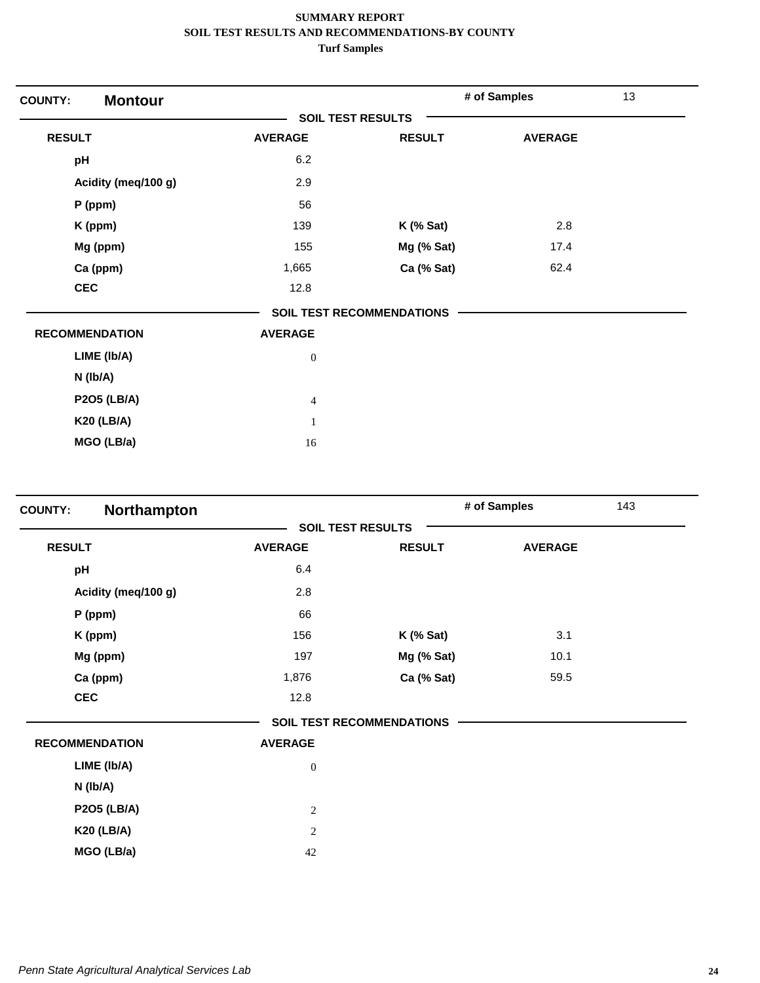| <b>Montour</b><br><b>COUNTY:</b> |                          |                                  | # of Samples   | 13 |
|----------------------------------|--------------------------|----------------------------------|----------------|----|
|                                  | <b>SOIL TEST RESULTS</b> |                                  |                |    |
| <b>RESULT</b>                    | <b>AVERAGE</b>           | <b>RESULT</b>                    | <b>AVERAGE</b> |    |
| pH                               | 6.2                      |                                  |                |    |
| Acidity (meq/100 g)              | 2.9                      |                                  |                |    |
| P (ppm)                          | 56                       |                                  |                |    |
| K (ppm)                          | 139                      | $K$ (% Sat)                      | 2.8            |    |
| Mg (ppm)                         | 155                      | Mg (% Sat)                       | 17.4           |    |
| Ca (ppm)                         | 1,665                    | Ca (% Sat)                       | 62.4           |    |
| <b>CEC</b>                       | 12.8                     |                                  |                |    |
|                                  |                          | <b>SOIL TEST RECOMMENDATIONS</b> |                |    |
| <b>RECOMMENDATION</b>            | <b>AVERAGE</b>           |                                  |                |    |
| LIME (Ib/A)                      | $\boldsymbol{0}$         |                                  |                |    |
| $N$ (lb/A)                       |                          |                                  |                |    |
| <b>P2O5 (LB/A)</b>               | $\overline{4}$           |                                  |                |    |
| <b>K20 (LB/A)</b>                | $\mathbf{1}$             |                                  |                |    |
| MGO (LB/a)                       | 16                       |                                  |                |    |

| Northampton<br><b>COUNTY:</b> |                  |                                  | # of Samples<br>143 |  |
|-------------------------------|------------------|----------------------------------|---------------------|--|
|                               |                  | <b>SOIL TEST RESULTS</b>         |                     |  |
| <b>RESULT</b>                 | <b>AVERAGE</b>   | <b>RESULT</b>                    | <b>AVERAGE</b>      |  |
| pH                            | 6.4              |                                  |                     |  |
| Acidity (meq/100 g)           | 2.8              |                                  |                     |  |
| $P$ (ppm)                     | 66               |                                  |                     |  |
| K (ppm)                       | 156              | $K$ (% Sat)                      | 3.1                 |  |
| Mg (ppm)                      | 197              | Mg (% Sat)                       | 10.1                |  |
| Ca (ppm)                      | 1,876            | Ca (% Sat)                       | 59.5                |  |
| <b>CEC</b>                    | 12.8             |                                  |                     |  |
|                               |                  | <b>SOIL TEST RECOMMENDATIONS</b> |                     |  |
| <b>RECOMMENDATION</b>         | <b>AVERAGE</b>   |                                  |                     |  |
| LIME (Ib/A)                   | $\boldsymbol{0}$ |                                  |                     |  |
| N (Ib/A)                      |                  |                                  |                     |  |
| <b>P2O5 (LB/A)</b>            | $\overline{c}$   |                                  |                     |  |
| <b>K20 (LB/A)</b>             | $\overline{c}$   |                                  |                     |  |
| MGO (LB/a)                    | 42               |                                  |                     |  |
|                               |                  |                                  |                     |  |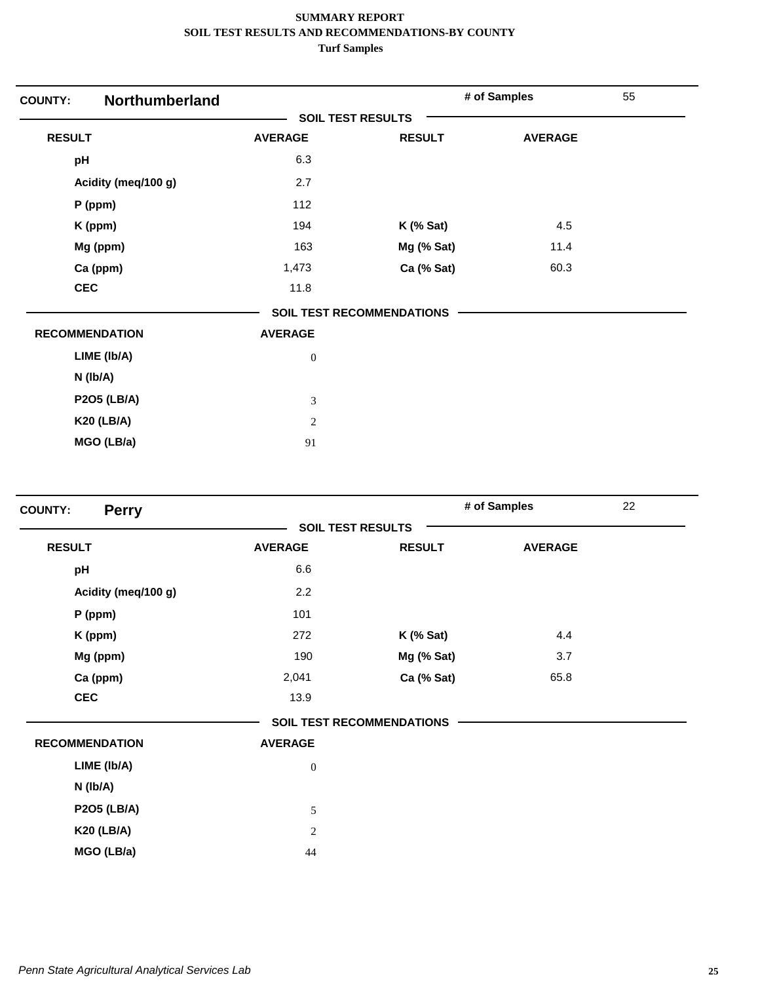| Northumberland<br><b>COUNTY:</b> |                          |                                  | # of Samples   | 55 |  |
|----------------------------------|--------------------------|----------------------------------|----------------|----|--|
|                                  | <b>SOIL TEST RESULTS</b> |                                  |                |    |  |
| <b>RESULT</b>                    | <b>AVERAGE</b>           | <b>RESULT</b>                    | <b>AVERAGE</b> |    |  |
| pH                               | 6.3                      |                                  |                |    |  |
| Acidity (meq/100 g)              | 2.7                      |                                  |                |    |  |
| P (ppm)                          | 112                      |                                  |                |    |  |
| K (ppm)                          | 194                      | $K$ (% Sat)                      | 4.5            |    |  |
| Mg (ppm)                         | 163                      | Mg (% Sat)                       | 11.4           |    |  |
| Ca (ppm)                         | 1,473                    | Ca (% Sat)                       | 60.3           |    |  |
| <b>CEC</b>                       | 11.8                     |                                  |                |    |  |
|                                  |                          | <b>SOIL TEST RECOMMENDATIONS</b> |                |    |  |
| <b>RECOMMENDATION</b>            | <b>AVERAGE</b>           |                                  |                |    |  |
| LIME (Ib/A)                      | $\boldsymbol{0}$         |                                  |                |    |  |
| $N$ (lb/A)                       |                          |                                  |                |    |  |
| <b>P2O5 (LB/A)</b>               | 3                        |                                  |                |    |  |
| <b>K20 (LB/A)</b>                | $\overline{c}$           |                                  |                |    |  |
| MGO (LB/a)                       | 91                       |                                  |                |    |  |

| <b>COUNTY:</b><br><b>Perry</b> |                          |                                  | # of Samples   | 22 |
|--------------------------------|--------------------------|----------------------------------|----------------|----|
|                                | <b>SOIL TEST RESULTS</b> |                                  |                |    |
| <b>RESULT</b>                  | <b>AVERAGE</b>           | <b>RESULT</b>                    | <b>AVERAGE</b> |    |
| pH                             | 6.6                      |                                  |                |    |
| Acidity (meq/100 g)            | 2.2                      |                                  |                |    |
| P (ppm)                        | 101                      |                                  |                |    |
| K (ppm)                        | 272                      | $K$ (% Sat)                      | 4.4            |    |
| Mg (ppm)                       | 190                      | Mg (% Sat)                       | 3.7            |    |
| Ca (ppm)                       | 2,041                    | Ca (% Sat)                       | 65.8           |    |
| <b>CEC</b>                     | 13.9                     |                                  |                |    |
|                                |                          | <b>SOIL TEST RECOMMENDATIONS</b> |                |    |
| <b>RECOMMENDATION</b>          | <b>AVERAGE</b>           |                                  |                |    |
| LIME (Ib/A)                    | $\boldsymbol{0}$         |                                  |                |    |
| N (Ib/A)                       |                          |                                  |                |    |
| <b>P2O5 (LB/A)</b>             | 5                        |                                  |                |    |
| <b>K20 (LB/A)</b>              | 2                        |                                  |                |    |
| MGO (LB/a)                     | 44                       |                                  |                |    |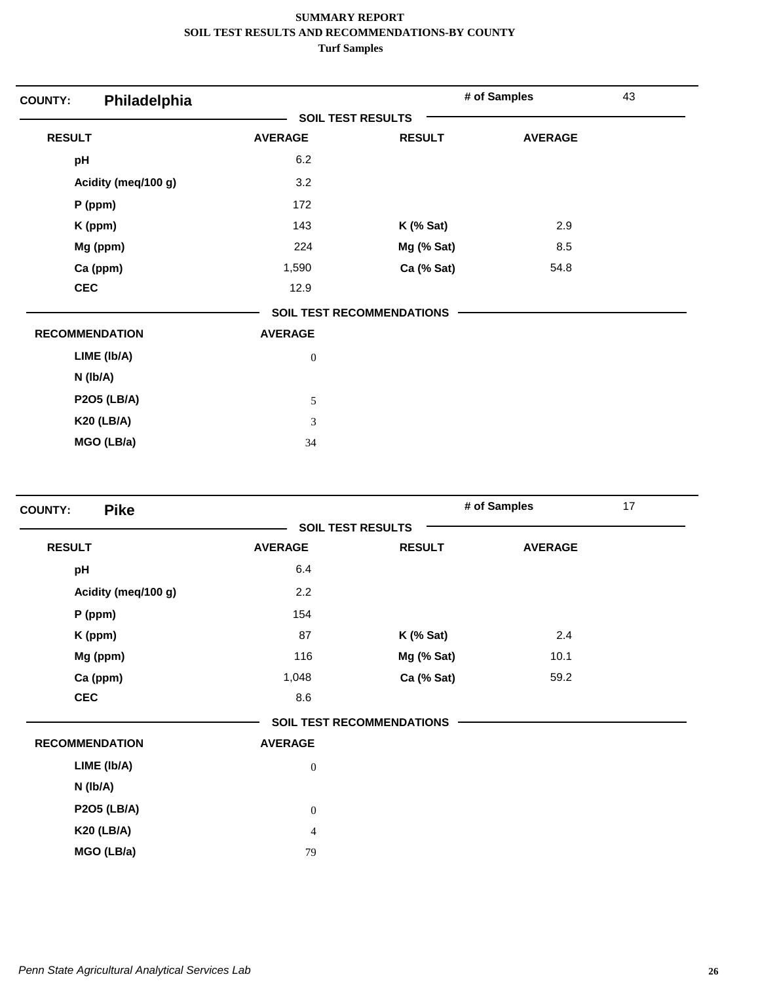| Philadelphia<br><b>COUNTY:</b> |                          |                                  | # of Samples   | 43 |
|--------------------------------|--------------------------|----------------------------------|----------------|----|
|                                | <b>SOIL TEST RESULTS</b> |                                  |                |    |
| <b>RESULT</b>                  | <b>AVERAGE</b>           | <b>RESULT</b>                    | <b>AVERAGE</b> |    |
| pH                             | 6.2                      |                                  |                |    |
| Acidity (meq/100 g)            | 3.2                      |                                  |                |    |
| $P$ (ppm)                      | 172                      |                                  |                |    |
| K (ppm)                        | 143                      | $K$ (% Sat)                      | 2.9            |    |
| Mg (ppm)                       | 224                      | Mg (% Sat)                       | 8.5            |    |
| Ca (ppm)                       | 1,590                    | Ca (% Sat)                       | 54.8           |    |
| <b>CEC</b>                     | 12.9                     |                                  |                |    |
|                                |                          | <b>SOIL TEST RECOMMENDATIONS</b> |                |    |
| <b>RECOMMENDATION</b>          | <b>AVERAGE</b>           |                                  |                |    |
| LIME (Ib/A)                    | $\boldsymbol{0}$         |                                  |                |    |
| N (Ib/A)                       |                          |                                  |                |    |
| <b>P2O5 (LB/A)</b>             | 5                        |                                  |                |    |
| <b>K20 (LB/A)</b>              | 3                        |                                  |                |    |
| MGO (LB/a)                     | 34                       |                                  |                |    |

| <b>Pike</b><br><b>COUNTY:</b> |                  |                                  | # of Samples   | 17 |
|-------------------------------|------------------|----------------------------------|----------------|----|
|                               |                  | <b>SOIL TEST RESULTS</b>         |                |    |
| <b>RESULT</b>                 | <b>AVERAGE</b>   | <b>RESULT</b>                    | <b>AVERAGE</b> |    |
| pH                            | 6.4              |                                  |                |    |
| Acidity (meq/100 g)           | 2.2              |                                  |                |    |
| P (ppm)                       | 154              |                                  |                |    |
| K (ppm)                       | 87               | <b>K</b> (% Sat)                 | 2.4            |    |
| Mg (ppm)                      | 116              | Mg (% Sat)                       | 10.1           |    |
| Ca (ppm)                      | 1,048            | Ca (% Sat)                       | 59.2           |    |
| <b>CEC</b>                    | 8.6              |                                  |                |    |
|                               |                  | <b>SOIL TEST RECOMMENDATIONS</b> |                |    |
| <b>RECOMMENDATION</b>         | <b>AVERAGE</b>   |                                  |                |    |
| LIME (Ib/A)                   | $\boldsymbol{0}$ |                                  |                |    |
| N (Ib/A)                      |                  |                                  |                |    |
| <b>P2O5 (LB/A)</b>            | $\boldsymbol{0}$ |                                  |                |    |
| <b>K20 (LB/A)</b>             | $\overline{4}$   |                                  |                |    |
| MGO (LB/a)                    | 79               |                                  |                |    |
|                               |                  |                                  |                |    |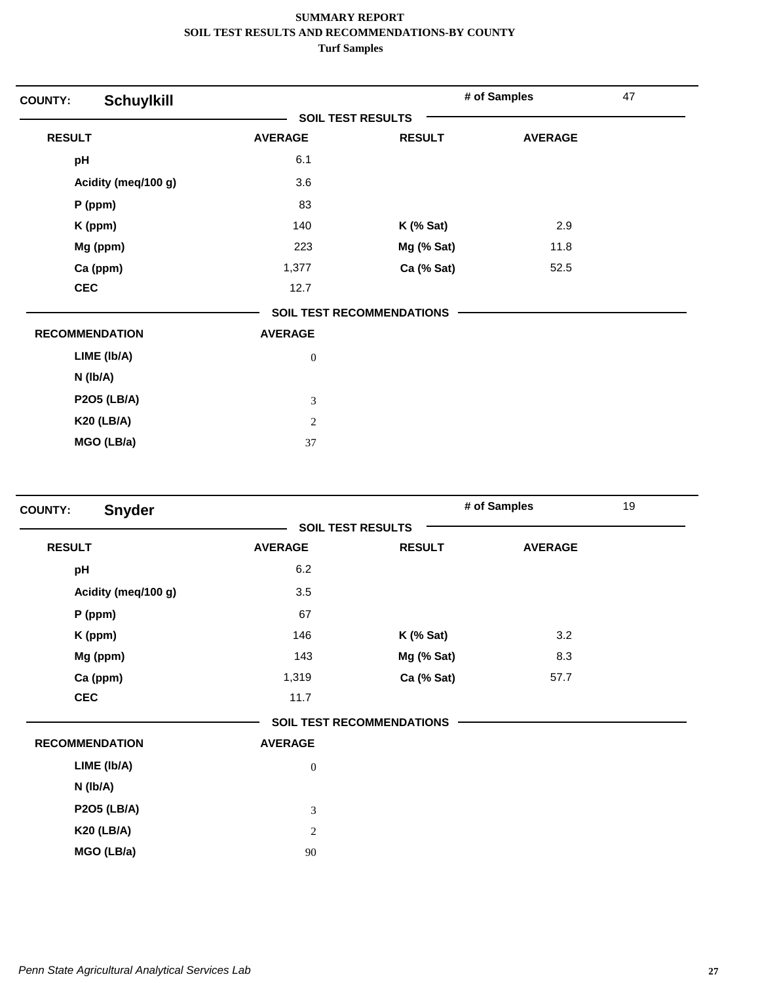| <b>COUNTY:</b>        | <b>Schuylkill</b>   |                          |                                  | # of Samples   | 47 |
|-----------------------|---------------------|--------------------------|----------------------------------|----------------|----|
|                       |                     | <b>SOIL TEST RESULTS</b> |                                  |                |    |
| <b>RESULT</b>         |                     | <b>AVERAGE</b>           | <b>RESULT</b>                    | <b>AVERAGE</b> |    |
| pH                    |                     | 6.1                      |                                  |                |    |
|                       | Acidity (meq/100 g) | 3.6                      |                                  |                |    |
|                       | $P$ (ppm)           | 83                       |                                  |                |    |
|                       | K (ppm)             | 140                      | $K$ (% Sat)                      | 2.9            |    |
|                       | Mg (ppm)            | 223                      | Mg (% Sat)                       | 11.8           |    |
|                       | Ca (ppm)            | 1,377                    | Ca (% Sat)                       | 52.5           |    |
| <b>CEC</b>            |                     | 12.7                     |                                  |                |    |
|                       |                     |                          | <b>SOIL TEST RECOMMENDATIONS</b> |                |    |
| <b>RECOMMENDATION</b> |                     | <b>AVERAGE</b>           |                                  |                |    |
|                       | LIME (Ib/A)         | $\boldsymbol{0}$         |                                  |                |    |
|                       | N (Ib/A)            |                          |                                  |                |    |
|                       | <b>P2O5 (LB/A)</b>  | $\mathfrak{Z}$           |                                  |                |    |
|                       | <b>K20 (LB/A)</b>   | 2                        |                                  |                |    |
|                       | MGO (LB/a)          | 37                       |                                  |                |    |

| <b>Snyder</b><br><b>COUNTY:</b> |                  |                                  | # of Samples   | 19 |
|---------------------------------|------------------|----------------------------------|----------------|----|
|                                 |                  | <b>SOIL TEST RESULTS</b>         |                |    |
| <b>RESULT</b>                   | <b>AVERAGE</b>   | <b>RESULT</b>                    | <b>AVERAGE</b> |    |
| pH                              | 6.2              |                                  |                |    |
| Acidity (meq/100 g)             | 3.5              |                                  |                |    |
| P (ppm)                         | 67               |                                  |                |    |
| K (ppm)                         | 146              | $K$ (% Sat)                      | 3.2            |    |
| Mg (ppm)                        | 143              | Mg (% Sat)                       | 8.3            |    |
| Ca (ppm)                        | 1,319            | Ca (% Sat)                       | 57.7           |    |
| <b>CEC</b>                      | 11.7             |                                  |                |    |
|                                 |                  | <b>SOIL TEST RECOMMENDATIONS</b> |                |    |
| <b>RECOMMENDATION</b>           | <b>AVERAGE</b>   |                                  |                |    |
| LIME (Ib/A)                     | $\boldsymbol{0}$ |                                  |                |    |
| N (Ib/A)                        |                  |                                  |                |    |
| <b>P2O5 (LB/A)</b>              | $\mathfrak{Z}$   |                                  |                |    |
| <b>K20 (LB/A)</b>               | 2                |                                  |                |    |
| MGO (LB/a)                      | 90               |                                  |                |    |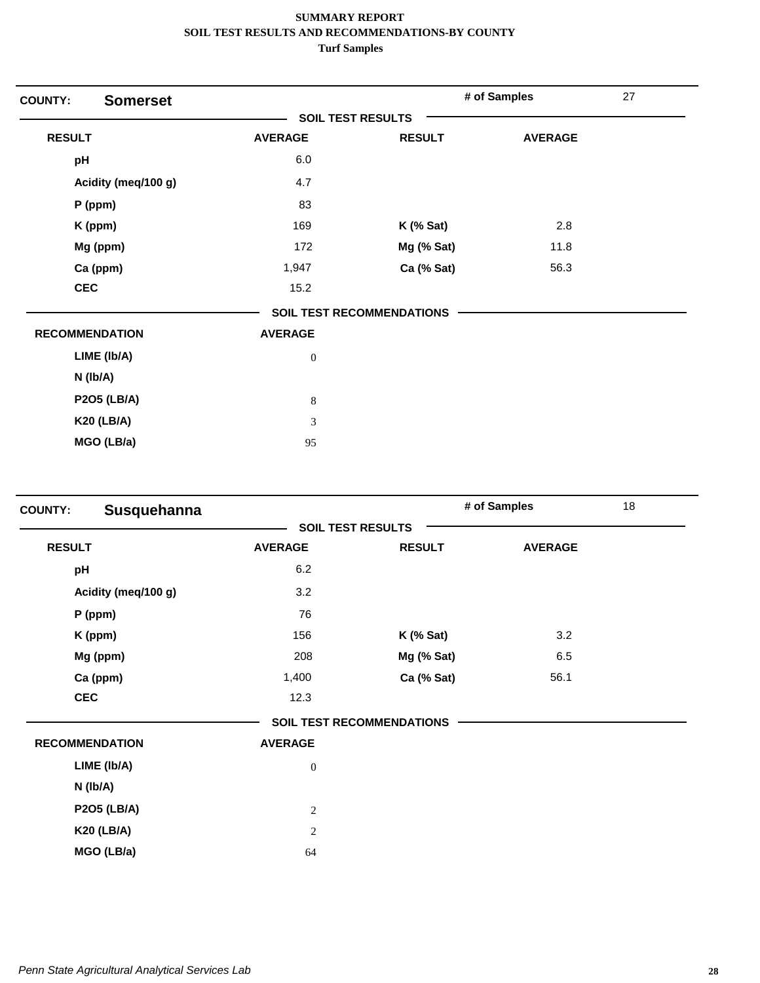| <b>Somerset</b><br><b>COUNTY:</b> |                          |                                  | # of Samples   | 27 |
|-----------------------------------|--------------------------|----------------------------------|----------------|----|
|                                   | <b>SOIL TEST RESULTS</b> |                                  |                |    |
| <b>RESULT</b>                     | <b>AVERAGE</b>           | <b>RESULT</b>                    | <b>AVERAGE</b> |    |
| pH                                | 6.0                      |                                  |                |    |
| Acidity (meq/100 g)               | 4.7                      |                                  |                |    |
| P (ppm)                           | 83                       |                                  |                |    |
| K (ppm)                           | 169                      | $K$ (% Sat)                      | 2.8            |    |
| Mg (ppm)                          | 172                      | Mg (% Sat)                       | 11.8           |    |
| Ca (ppm)                          | 1,947                    | Ca (% Sat)                       | 56.3           |    |
| <b>CEC</b>                        | 15.2                     |                                  |                |    |
|                                   |                          | <b>SOIL TEST RECOMMENDATIONS</b> |                |    |
| <b>RECOMMENDATION</b>             | <b>AVERAGE</b>           |                                  |                |    |
| LIME (Ib/A)                       | $\boldsymbol{0}$         |                                  |                |    |
| N (Ib/A)                          |                          |                                  |                |    |
| <b>P2O5 (LB/A)</b>                | $\,8\,$                  |                                  |                |    |
| <b>K20 (LB/A)</b>                 | 3                        |                                  |                |    |
| MGO (LB/a)                        | 95                       |                                  |                |    |

| <b>COUNTY:</b> | Susquehanna           |                  |                                  | # of Samples   | 18 |
|----------------|-----------------------|------------------|----------------------------------|----------------|----|
|                |                       |                  | <b>SOIL TEST RESULTS</b>         |                |    |
| <b>RESULT</b>  |                       | <b>AVERAGE</b>   | <b>RESULT</b>                    | <b>AVERAGE</b> |    |
| pH             |                       | 6.2              |                                  |                |    |
|                | Acidity (meq/100 g)   | 3.2              |                                  |                |    |
|                | P (ppm)               | 76               |                                  |                |    |
|                | K (ppm)               | 156              | $K$ (% Sat)                      | 3.2            |    |
|                | Mg (ppm)              | 208              | Mg (% Sat)                       | 6.5            |    |
|                | Ca (ppm)              | 1,400            | Ca (% Sat)                       | 56.1           |    |
| <b>CEC</b>     |                       | 12.3             |                                  |                |    |
|                |                       |                  | <b>SOIL TEST RECOMMENDATIONS</b> |                |    |
|                | <b>RECOMMENDATION</b> | <b>AVERAGE</b>   |                                  |                |    |
|                | LIME (Ib/A)           | $\boldsymbol{0}$ |                                  |                |    |
|                | N (Ib/A)              |                  |                                  |                |    |
|                | <b>P2O5 (LB/A)</b>    | $\boldsymbol{2}$ |                                  |                |    |
|                | <b>K20 (LB/A)</b>     | $\overline{c}$   |                                  |                |    |
|                | MGO (LB/a)            | 64               |                                  |                |    |
|                |                       |                  |                                  |                |    |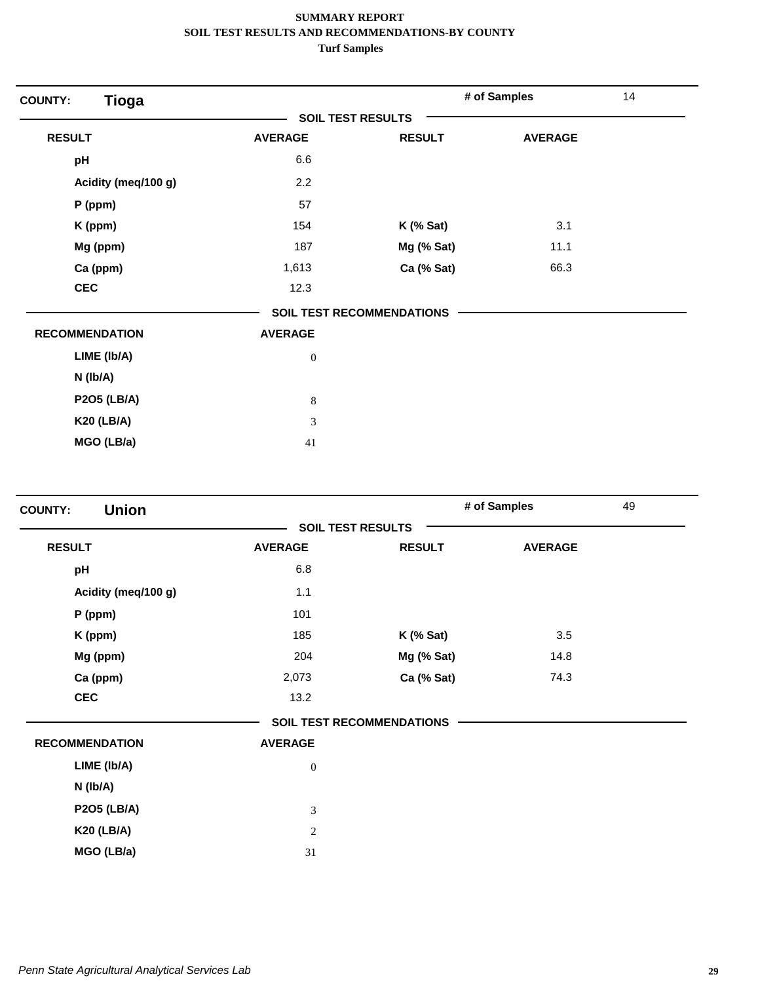| <b>Tioga</b><br><b>COUNTY:</b> |                          |                                  | # of Samples   | 14 |
|--------------------------------|--------------------------|----------------------------------|----------------|----|
|                                | <b>SOIL TEST RESULTS</b> |                                  |                |    |
| <b>RESULT</b>                  | <b>AVERAGE</b>           | <b>RESULT</b>                    | <b>AVERAGE</b> |    |
| pH                             | 6.6                      |                                  |                |    |
| Acidity (meq/100 g)            | 2.2                      |                                  |                |    |
| P (ppm)                        | 57                       |                                  |                |    |
| K (ppm)                        | 154                      | $K$ (% Sat)                      | 3.1            |    |
| Mg (ppm)                       | 187                      | Mg (% Sat)                       | 11.1           |    |
| Ca (ppm)                       | 1,613                    | Ca (% Sat)                       | 66.3           |    |
| <b>CEC</b>                     | 12.3                     |                                  |                |    |
|                                |                          | <b>SOIL TEST RECOMMENDATIONS</b> |                |    |
| <b>RECOMMENDATION</b>          | <b>AVERAGE</b>           |                                  |                |    |
| LIME (Ib/A)                    | $\boldsymbol{0}$         |                                  |                |    |
| N (Ib/A)                       |                          |                                  |                |    |
| <b>P2O5 (LB/A)</b>             | $\,8\,$                  |                                  |                |    |
| <b>K20 (LB/A)</b>              | 3                        |                                  |                |    |
| MGO (LB/a)                     | 41                       |                                  |                |    |

| <b>Union</b><br><b>COUNTY:</b> |                          |                                  | # of Samples   | 49 |
|--------------------------------|--------------------------|----------------------------------|----------------|----|
|                                | <b>SOIL TEST RESULTS</b> |                                  |                |    |
| <b>RESULT</b>                  | <b>AVERAGE</b>           | <b>RESULT</b>                    | <b>AVERAGE</b> |    |
| pH                             | 6.8                      |                                  |                |    |
| Acidity (meq/100 g)            | 1.1                      |                                  |                |    |
| P (ppm)                        | 101                      |                                  |                |    |
| K (ppm)                        | 185                      | $K$ (% Sat)                      | 3.5            |    |
| Mg (ppm)                       | 204                      | Mg (% Sat)                       | 14.8           |    |
| Ca (ppm)                       | 2,073                    | Ca (% Sat)                       | 74.3           |    |
| <b>CEC</b>                     | 13.2                     |                                  |                |    |
|                                |                          | <b>SOIL TEST RECOMMENDATIONS</b> |                |    |
| <b>RECOMMENDATION</b>          | <b>AVERAGE</b>           |                                  |                |    |
| LIME (Ib/A)                    | $\mathbf{0}$             |                                  |                |    |
| $N$ ( $lb/A$ )                 |                          |                                  |                |    |
| <b>P2O5 (LB/A)</b>             | 3                        |                                  |                |    |
| <b>K20 (LB/A)</b>              | $\overline{c}$           |                                  |                |    |
| MGO (LB/a)                     | 31                       |                                  |                |    |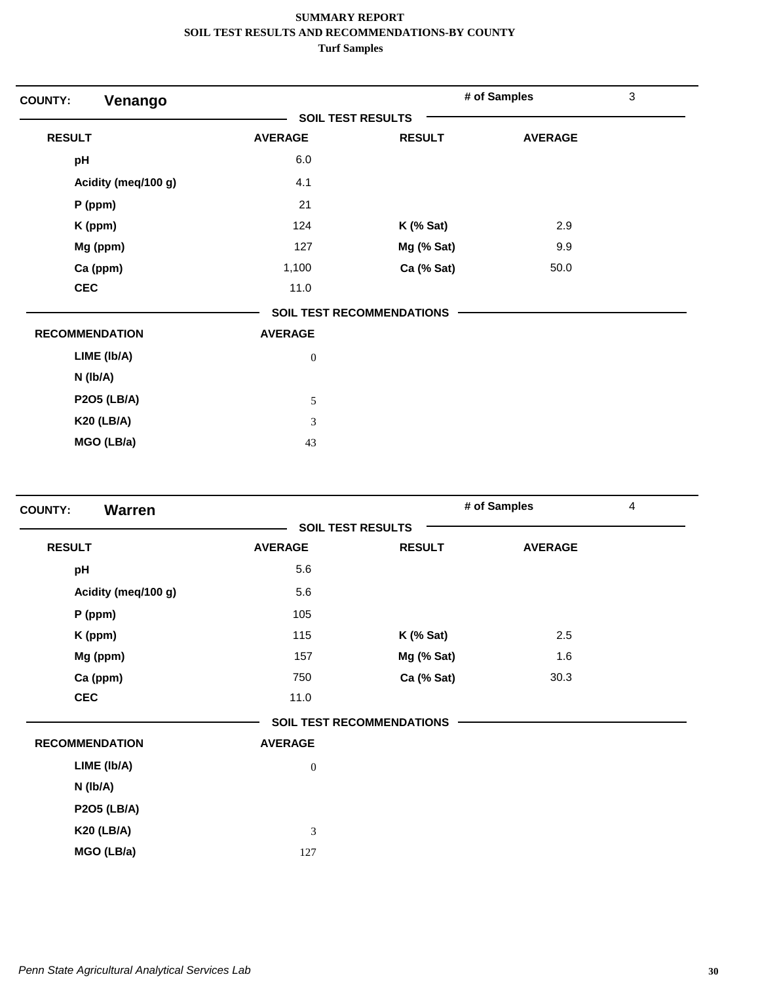| <b>COUNTY:</b><br>Venango |                          |                                  | # of Samples   | $\mathfrak{S}$ |
|---------------------------|--------------------------|----------------------------------|----------------|----------------|
|                           | <b>SOIL TEST RESULTS</b> |                                  |                |                |
| <b>RESULT</b>             | <b>AVERAGE</b>           | <b>RESULT</b>                    | <b>AVERAGE</b> |                |
| pH                        | 6.0                      |                                  |                |                |
| Acidity (meq/100 g)       | 4.1                      |                                  |                |                |
| $P$ (ppm)                 | 21                       |                                  |                |                |
| K (ppm)                   | 124                      | $K$ (% Sat)                      | 2.9            |                |
| Mg (ppm)                  | 127                      | Mg (% Sat)                       | 9.9            |                |
| Ca (ppm)                  | 1,100                    | Ca (% Sat)                       | 50.0           |                |
| <b>CEC</b>                | 11.0                     |                                  |                |                |
|                           |                          | <b>SOIL TEST RECOMMENDATIONS</b> |                |                |
| <b>RECOMMENDATION</b>     | <b>AVERAGE</b>           |                                  |                |                |
| LIME (Ib/A)               | $\boldsymbol{0}$         |                                  |                |                |
| N (Ib/A)                  |                          |                                  |                |                |
| <b>P2O5 (LB/A)</b>        | $\sqrt{5}$               |                                  |                |                |
| <b>K20 (LB/A)</b>         | 3                        |                                  |                |                |
| MGO (LB/a)                | 43                       |                                  |                |                |

| <b>Warren</b><br><b>COUNTY:</b> |                |                                  | # of Samples   | $\overline{4}$ |
|---------------------------------|----------------|----------------------------------|----------------|----------------|
|                                 |                | <b>SOIL TEST RESULTS</b>         |                |                |
| <b>RESULT</b>                   | <b>AVERAGE</b> | <b>RESULT</b>                    | <b>AVERAGE</b> |                |
| pH                              | 5.6            |                                  |                |                |
| Acidity (meq/100 g)             | 5.6            |                                  |                |                |
| P (ppm)                         | 105            |                                  |                |                |
| K (ppm)                         | 115            | $K$ (% Sat)                      | 2.5            |                |
| Mg (ppm)                        | 157            | Mg (% Sat)                       | 1.6            |                |
| Ca (ppm)                        | 750            | Ca (% Sat)                       | 30.3           |                |
| <b>CEC</b>                      | 11.0           |                                  |                |                |
|                                 |                | <b>SOIL TEST RECOMMENDATIONS</b> |                |                |
| <b>RECOMMENDATION</b>           | <b>AVERAGE</b> |                                  |                |                |
| LIME (Ib/A)                     | $\mathbf{0}$   |                                  |                |                |
| N (Ib/A)                        |                |                                  |                |                |
| <b>P2O5 (LB/A)</b>              |                |                                  |                |                |
| <b>K20 (LB/A)</b>               | 3              |                                  |                |                |
| MGO (LB/a)                      | 127            |                                  |                |                |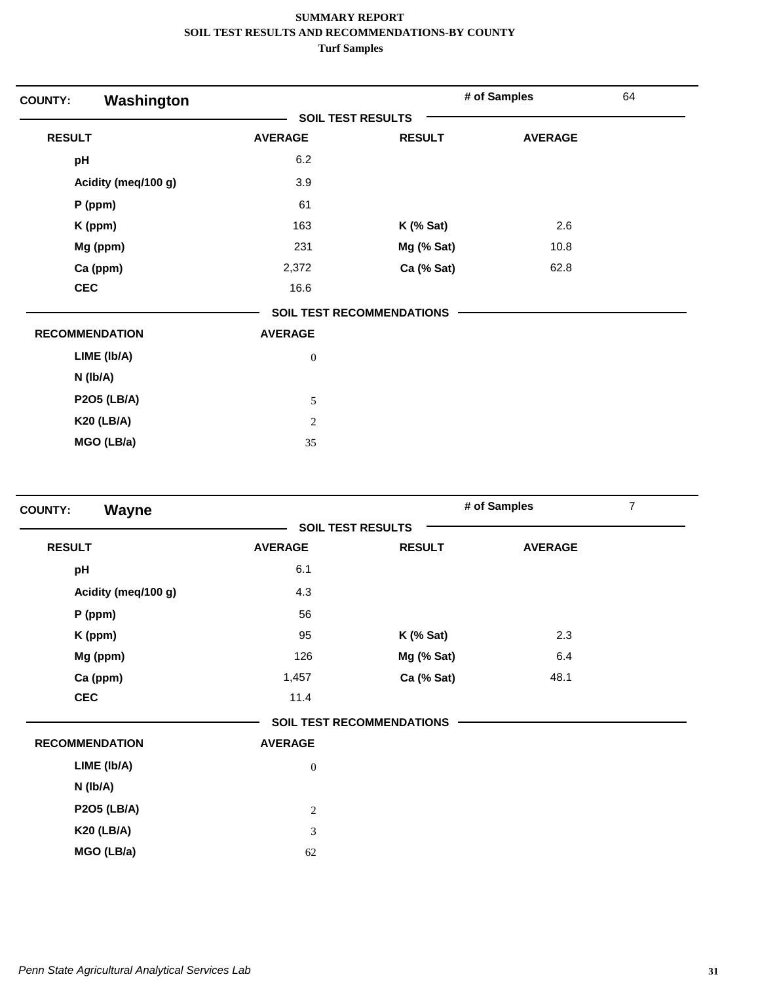| Washington<br><b>COUNTY:</b> |                          |                                  | # of Samples   | 64 |
|------------------------------|--------------------------|----------------------------------|----------------|----|
|                              | <b>SOIL TEST RESULTS</b> |                                  |                |    |
| <b>RESULT</b>                | <b>AVERAGE</b>           | <b>RESULT</b>                    | <b>AVERAGE</b> |    |
| pH                           | 6.2                      |                                  |                |    |
| Acidity (meq/100 g)          | 3.9                      |                                  |                |    |
| P (ppm)                      | 61                       |                                  |                |    |
| K (ppm)                      | 163                      | $K$ (% Sat)                      | 2.6            |    |
| Mg (ppm)                     | 231                      | Mg (% Sat)                       | 10.8           |    |
| Ca (ppm)                     | 2,372                    | Ca (% Sat)                       | 62.8           |    |
| <b>CEC</b>                   | 16.6                     |                                  |                |    |
|                              |                          | <b>SOIL TEST RECOMMENDATIONS</b> |                |    |
| <b>RECOMMENDATION</b>        | <b>AVERAGE</b>           |                                  |                |    |
| LIME (Ib/A)                  | $\boldsymbol{0}$         |                                  |                |    |
| $N$ ( $lb/A$ )               |                          |                                  |                |    |
| <b>P2O5 (LB/A)</b>           | 5                        |                                  |                |    |
| <b>K20 (LB/A)</b>            | $\overline{c}$           |                                  |                |    |
| MGO (LB/a)                   | 35                       |                                  |                |    |

| Wayne<br><b>COUNTY:</b> |                          |                                  | # of Samples   | $\overline{7}$ |
|-------------------------|--------------------------|----------------------------------|----------------|----------------|
|                         | <b>SOIL TEST RESULTS</b> |                                  |                |                |
| <b>RESULT</b>           | <b>AVERAGE</b>           | <b>RESULT</b>                    | <b>AVERAGE</b> |                |
| pH                      | 6.1                      |                                  |                |                |
| Acidity (meq/100 g)     | 4.3                      |                                  |                |                |
| P (ppm)                 | 56                       |                                  |                |                |
| K (ppm)                 | 95                       | $K$ (% Sat)                      | 2.3            |                |
| Mg (ppm)                | 126                      | Mg (% Sat)                       | 6.4            |                |
| Ca (ppm)                | 1,457                    | Ca (% Sat)                       | 48.1           |                |
| <b>CEC</b>              | 11.4                     |                                  |                |                |
|                         |                          | <b>SOIL TEST RECOMMENDATIONS</b> |                |                |
| <b>RECOMMENDATION</b>   | <b>AVERAGE</b>           |                                  |                |                |
| LIME (Ib/A)             | $\boldsymbol{0}$         |                                  |                |                |
| N (Ib/A)                |                          |                                  |                |                |
| <b>P2O5 (LB/A)</b>      | $\overline{c}$           |                                  |                |                |
| <b>K20 (LB/A)</b>       | 3                        |                                  |                |                |
| MGO (LB/a)              | 62                       |                                  |                |                |
|                         |                          |                                  |                |                |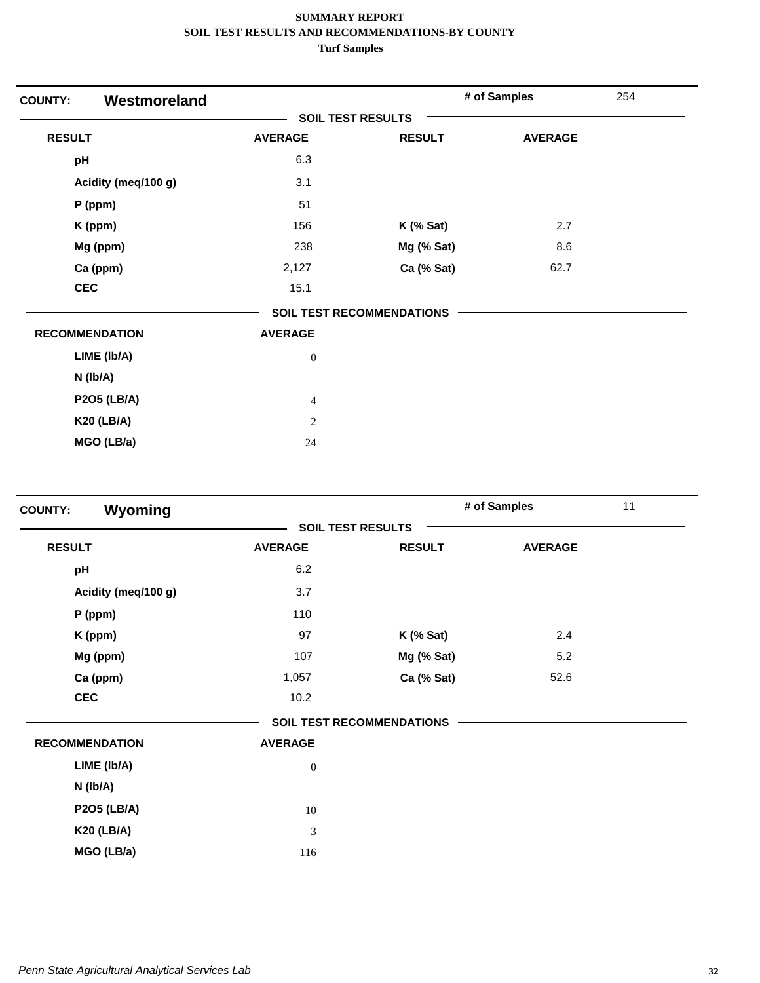| Westmoreland<br><b>COUNTY:</b> |                          |                                  | # of Samples   | 254 |
|--------------------------------|--------------------------|----------------------------------|----------------|-----|
|                                | <b>SOIL TEST RESULTS</b> |                                  |                |     |
| <b>RESULT</b>                  | <b>AVERAGE</b>           | <b>RESULT</b>                    | <b>AVERAGE</b> |     |
| pH                             | 6.3                      |                                  |                |     |
| Acidity (meq/100 g)            | 3.1                      |                                  |                |     |
| P (ppm)                        | 51                       |                                  |                |     |
| K (ppm)                        | 156                      | $K$ (% Sat)                      | 2.7            |     |
| Mg (ppm)                       | 238                      | Mg (% Sat)                       | 8.6            |     |
| Ca (ppm)                       | 2,127                    | Ca (% Sat)                       | 62.7           |     |
| <b>CEC</b>                     | 15.1                     |                                  |                |     |
|                                |                          | <b>SOIL TEST RECOMMENDATIONS</b> |                |     |
| <b>RECOMMENDATION</b>          | <b>AVERAGE</b>           |                                  |                |     |
| LIME (Ib/A)                    | $\boldsymbol{0}$         |                                  |                |     |
| $N$ ( $lb/A$ )                 |                          |                                  |                |     |
| <b>P2O5 (LB/A)</b>             | $\overline{4}$           |                                  |                |     |
| <b>K20 (LB/A)</b>              | $\overline{2}$           |                                  |                |     |
| MGO (LB/a)                     | 24                       |                                  |                |     |

| Wyoming<br><b>COUNTY:</b> |                |                                  | # of Samples   | 11 |
|---------------------------|----------------|----------------------------------|----------------|----|
|                           |                | <b>SOIL TEST RESULTS</b>         |                |    |
| <b>RESULT</b>             | <b>AVERAGE</b> | <b>RESULT</b>                    | <b>AVERAGE</b> |    |
| pH                        | 6.2            |                                  |                |    |
| Acidity (meq/100 g)       | 3.7            |                                  |                |    |
| P (ppm)                   | 110            |                                  |                |    |
| K (ppm)                   | 97             | $K$ (% Sat)                      | 2.4            |    |
| Mg (ppm)                  | 107            | Mg (% Sat)                       | 5.2            |    |
| Ca (ppm)                  | 1,057          | Ca (% Sat)                       | 52.6           |    |
| <b>CEC</b>                | 10.2           |                                  |                |    |
|                           |                | <b>SOIL TEST RECOMMENDATIONS</b> |                |    |
| <b>RECOMMENDATION</b>     | <b>AVERAGE</b> |                                  |                |    |
| LIME (Ib/A)               | $\mathbf{0}$   |                                  |                |    |
| N (Ib/A)                  |                |                                  |                |    |
| <b>P2O5 (LB/A)</b>        | 10             |                                  |                |    |
| <b>K20 (LB/A)</b>         | 3              |                                  |                |    |
| MGO (LB/a)                | 116            |                                  |                |    |
|                           |                |                                  |                |    |